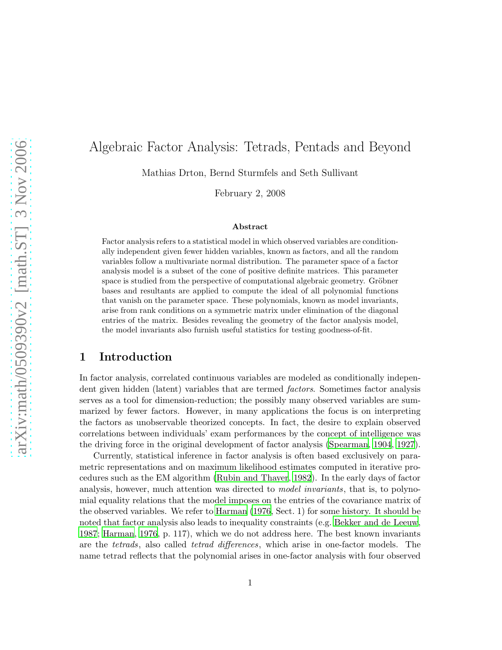# Algebraic Factor Analysis: Tetrads, Pentads and Beyond

Mathias Drton, Bernd Sturmfels and Seth Sullivant

February 2, 2008

#### Abstract

Factor analysis refers to a statistical model in which observed variables are conditionally independent given fewer hidden variables, known as factors, and all the random variables follow a multivariate normal distribution. The parameter space of a factor analysis model is a subset of the cone of positive definite matrices. This parameter space is studied from the perspective of computational algebraic geometry. Gröbner bases and resultants are applied to compute the ideal of all polynomial functions that vanish on the parameter space. These polynomials, known as model invariants, arise from rank conditions on a symmetric matrix under elimination of the diagonal entries of the matrix. Besides revealing the geometry of the factor analysis model, the model invariants also furnish useful statistics for testing goodness-of-fit.

# 1 Introduction

In factor analysis, correlated continuous variables are modeled as conditionally independent given hidden (latent) variables that are termed *factors*. Sometimes factor analysis serves as a tool for dimension-reduction; the possibly many observed variables are summarized by fewer factors. However, in many applications the focus is on interpreting the factors as unobservable theorized concepts. In fact, the desire to explain observed correlations between individuals' exam performances by the concept of intelligence was the driving force in the original development of factor analysis [\(Spearman](#page-30-0), [1904](#page-30-0), [1927](#page-30-1)).

Currently, statistical inference in factor analysis is often based exclusively on parametric representations and on maximum likelihood estimates computed in iterative procedures such as the EM algorithm [\(Rubin and Thayer](#page-30-2), [1982\)](#page-30-2). In the early days of factor analysis, however, much attention was directed to *model invariants*, that is, to polynomial equality relations that the model imposes on the entries of the covariance matrix of the observed variables. We refer to [Harman \(1976](#page-29-0), Sect. 1) for some history. It should be noted that factor analysis also leads to inequality constraints (e.g. [Bekker and de Leeuw](#page-28-0), [1987;](#page-28-0) [Harman, 1976](#page-29-0), p. 117), which we do not address here. The best known invariants are the *tetrads*, also called *tetrad differences*, which arise in one-factor models. The name tetrad reflects that the polynomial arises in one-factor analysis with four observed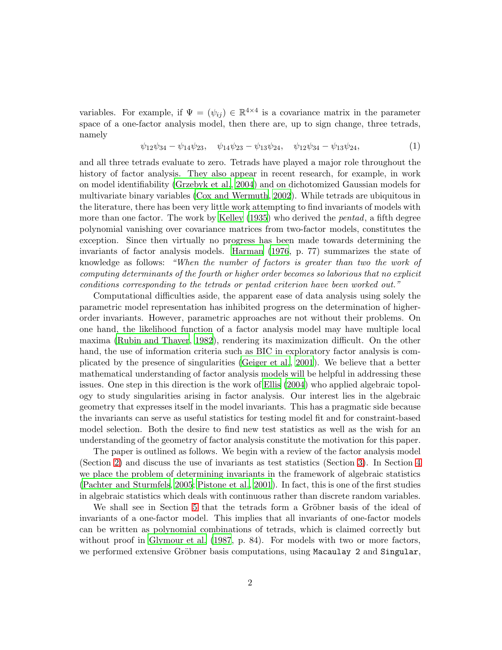variables. For example, if  $\Psi = (\psi_{ij}) \in \mathbb{R}^{4 \times 4}$  is a covariance matrix in the parameter space of a one-factor analysis model, then there are, up to sign change, three tetrads, namely

<span id="page-1-0"></span>
$$
\psi_{12}\psi_{34} - \psi_{14}\psi_{23}, \quad \psi_{14}\psi_{23} - \psi_{13}\psi_{24}, \quad \psi_{12}\psi_{34} - \psi_{13}\psi_{24}, \tag{1}
$$

and all three tetrads evaluate to zero. Tetrads have played a major role throughout the history of factor analysis. They also appear in recent research, for example, in work on model identifiability [\(Grzebyk et al., 2004](#page-29-1)) and on dichotomized Gaussian models for multivariate binary variables [\(Cox and Wermuth](#page-28-1), [2002](#page-28-1)). While tetrads are ubiquitous in the literature, there has been very little work attempting to find invariants of models with more than one factor. The work by [Kelley \(1935](#page-29-2)) who derived the *pentad*, a fifth degree polynomial vanishing over covariance matrices from two-factor models, constitutes the exception. Since then virtually no progress has been made towards determining the invariants of factor analysis models. [Harman \(1976](#page-29-0), p. 77) summarizes the state of knowledge as follows: *"When the number of factors is greater than two the work of computing determinants of the fourth or higher order becomes so laborious that no explicit conditions corresponding to the tetrads or pentad criterion have been worked out."*

Computational difficulties aside, the apparent ease of data analysis using solely the parametric model representation has inhibited progress on the determination of higherorder invariants. However, parametric approaches are not without their problems. On one hand, the likelihood function of a factor analysis model may have multiple local maxima [\(Rubin and Thayer](#page-30-2), [1982\)](#page-30-2), rendering its maximization difficult. On the other hand, the use of information criteria such as BIC in exploratory factor analysis is complicated by the presence of singularities [\(Geiger et al., 2001](#page-28-2)). We believe that a better mathematical understanding of factor analysis models will be helpful in addressing these issues. One step in this direction is the work of [Ellis \(2004\)](#page-28-3) who applied algebraic topology to study singularities arising in factor analysis. Our interest lies in the algebraic geometry that expresses itself in the model invariants. This has a pragmatic side because the invariants can serve as useful statistics for testing model fit and for constraint-based model selection. Both the desire to find new test statistics as well as the wish for an understanding of the geometry of factor analysis constitute the motivation for this paper.

The paper is outlined as follows. We begin with a review of the factor analysis model (Section [2\)](#page-2-0) and discuss the use of invariants as test statistics (Section [3\)](#page-7-0). In Section [4](#page-10-0) we place the problem of determining invariants in the framework of algebraic statistics [\(Pachter and Sturmfels, 2005](#page-29-3); [Pistone et al.](#page-29-4), [2001](#page-29-4)). In fact, this is one of the first studies in algebraic statistics which deals with continuous rather than discrete random variables.

We shall see in Section [5](#page-14-0) that the tetrads form a Gröbner basis of the ideal of invariants of a one-factor model. This implies that all invariants of one-factor models can be written as polynomial combinations of tetrads, which is claimed correctly but without proof in [Glymour et al. \(1987](#page-29-5), p. 84). For models with two or more factors, we performed extensive Gröbner basis computations, using Macaulay 2 and Singular,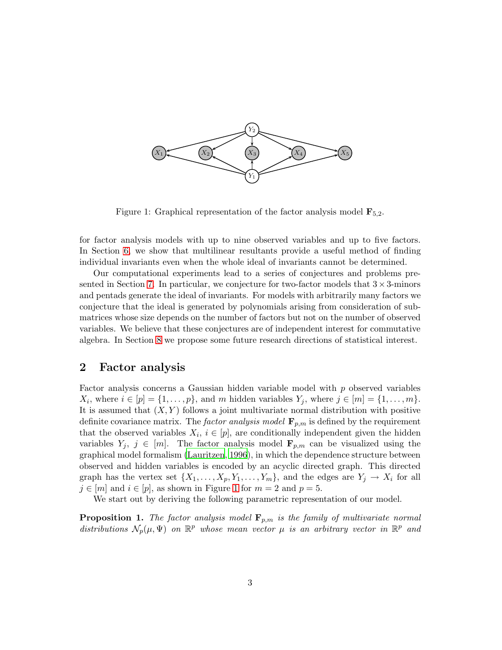

<span id="page-2-1"></span>Figure 1: Graphical representation of the factor analysis model  $\mathbf{F}_{5,2}$ .

for factor analysis models with up to nine observed variables and up to five factors. In Section [6,](#page-18-0) we show that multilinear resultants provide a useful method of finding individual invariants even when the whole ideal of invariants cannot be determined.

Our computational experiments lead to a series of conjectures and problems pre-sented in Section [7.](#page-23-0) In particular, we conjecture for two-factor models that  $3 \times 3$ -minors and pentads generate the ideal of invariants. For models with arbitrarily many factors we conjecture that the ideal is generated by polynomials arising from consideration of submatrices whose size depends on the number of factors but not on the number of observed variables. We believe that these conjectures are of independent interest for commutative algebra. In Section [8](#page-25-0) we propose some future research directions of statistical interest.

# <span id="page-2-0"></span>2 Factor analysis

Factor analysis concerns a Gaussian hidden variable model with p observed variables  $X_i$ , where  $i \in [p] = \{1, \ldots, p\}$ , and m hidden variables  $Y_j$ , where  $j \in [m] = \{1, \ldots, m\}$ . It is assumed that  $(X, Y)$  follows a joint multivariate normal distribution with positive definite covariance matrix. The *factor analysis model*  $\mathbf{F}_{p,m}$  is defined by the requirement that the observed variables  $X_i$ ,  $i \in [p]$ , are conditionally independent given the hidden variables  $Y_j$ ,  $j \in [m]$ . The factor analysis model  $\mathbf{F}_{p,m}$  can be visualized using the graphical model formalism [\(Lauritzen](#page-29-6), [1996\)](#page-29-6), in which the dependence structure between observed and hidden variables is encoded by an acyclic directed graph. This directed graph has the vertex set  $\{X_1, \ldots, X_p, Y_1, \ldots, Y_m\}$ , and the edges are  $Y_j \to X_i$  for all  $j \in [m]$  and  $i \in [p]$ , as shown in Figure [1](#page-2-1) for  $m = 2$  and  $p = 5$ .

<span id="page-2-2"></span>We start out by deriving the following parametric representation of our model.

**Proposition 1.** *The factor analysis model*  $\mathbf{F}_{p,m}$  *is the family of multivariate normal*  $distributions \mathcal{N}_p(\mu, \Psi)$  *on*  $\mathbb{R}^p$  whose mean vector  $\mu$  *is an arbitrary vector in*  $\mathbb{R}^p$  *and*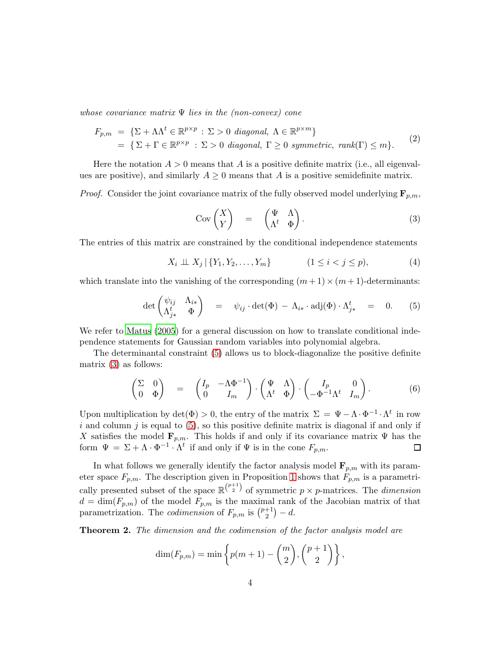*whose covariance matrix* Ψ *lies in the (non-convex) cone*

$$
F_{p,m} = \{ \Sigma + \Lambda \Lambda^t \in \mathbb{R}^{p \times p} : \Sigma > 0 \text{ diagonal}, \Lambda \in \mathbb{R}^{p \times m} \}
$$
  
=  $\{ \Sigma + \Gamma \in \mathbb{R}^{p \times p} : \Sigma > 0 \text{ diagonal}, \Gamma \ge 0 \text{ symmetric}, \text{rank}(\Gamma) \le m \}.$  (2)

Here the notation  $A > 0$  means that A is a positive definite matrix (i.e., all eigenvalues are positive), and similarly  $A \geq 0$  means that A is a positive semidefinite matrix.

*Proof.* Consider the joint covariance matrix of the fully observed model underlying  $\mathbf{F}_{p,m}$ ,

<span id="page-3-1"></span>
$$
Cov\begin{pmatrix} X \\ Y \end{pmatrix} = \begin{pmatrix} \Psi & \Lambda \\ \Lambda^t & \Phi \end{pmatrix}.
$$
 (3)

The entries of this matrix are constrained by the conditional independence statements

$$
X_i \perp \!\!\!\perp X_j \,|\, \{Y_1, Y_2, \ldots, Y_m\} \qquad (1 \le i < j \le p), \tag{4}
$$

which translate into the vanishing of the corresponding  $(m+1) \times (m+1)$ -determinants:

<span id="page-3-0"></span>
$$
\det \begin{pmatrix} \psi_{ij} & \Lambda_{i*} \\ \Lambda_{j*}^t & \Phi \end{pmatrix} = \psi_{ij} \cdot \det(\Phi) - \Lambda_{i*} \cdot \mathrm{adj}(\Phi) \cdot \Lambda_{j*}^t = 0. \qquad (5)
$$

We refer to [Matus \(2005](#page-29-7)) for a general discussion on how to translate conditional independence statements for Gaussian random variables into polynomial algebra.

The determinantal constraint [\(5\)](#page-3-0) allows us to block-diagonalize the positive definite matrix [\(3\)](#page-3-1) as follows:

$$
\begin{pmatrix} \Sigma & 0 \\ 0 & \Phi \end{pmatrix} = \begin{pmatrix} I_p & -\Lambda \Phi^{-1} \\ 0 & I_m \end{pmatrix} \cdot \begin{pmatrix} \Psi & \Lambda \\ \Lambda^t & \Phi \end{pmatrix} \cdot \begin{pmatrix} I_p & 0 \\ -\Phi^{-1} \Lambda^t & I_m \end{pmatrix}.
$$
 (6)

Upon multiplication by  $\det(\Phi) > 0$ , the entry of the matrix  $\Sigma = \Psi - \Lambda \cdot \Phi^{-1} \cdot \Lambda^t$  in row  $i$  and column  $j$  is equal to  $(5)$ , so this positive definite matrix is diagonal if and only if X satisfies the model  $\mathbf{F}_{p,m}$ . This holds if and only if its covariance matrix  $\Psi$  has the form  $\Psi = \Sigma + \Lambda \cdot \Phi^{-1} \cdot \Lambda^t$  if and only if  $\Psi$  is in the cone  $F_{p,m}$ .  $\Box$ 

In what follows we generally identify the factor analysis model  $\mathbf{F}_{p,m}$  with its parameter space  $F_{p,m}$ . The description given in Proposition [1](#page-2-2) shows that  $F_{p,m}$  is a parametrically presented subset of the space  $\mathbb{R}^{\binom{p+1}{2}}$  of symmetric  $p \times p$ -matrices. The *dimension*  $d = \dim(F_{p,m})$  of the model  $F_{p,m}$  is the maximal rank of the Jacobian matrix of that parametrization. The *codimension* of  $F_{p,m}$  is  $\binom{p+1}{2}$  $\binom{+1}{2} - d.$ 

<span id="page-3-2"></span>Theorem 2. *The dimension and the codimension of the factor analysis model are*

$$
\dim(F_{p,m}) = \min\left\{p(m+1) - \binom{m}{2}, \binom{p+1}{2}\right\},\,
$$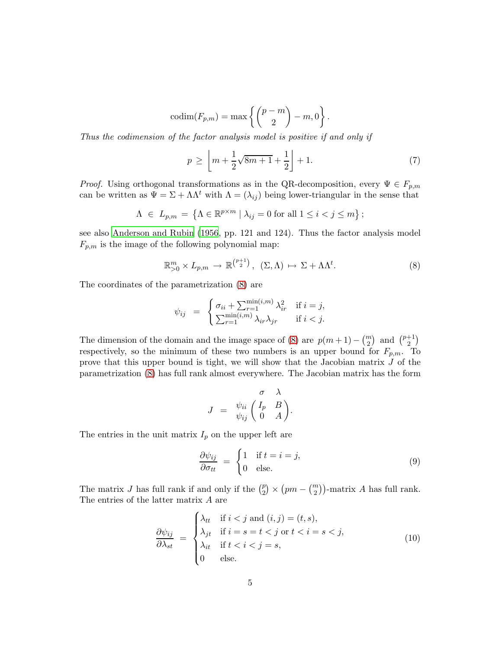$$
\mathrm{codim}(F_{p,m})=\max\left\{\binom{p-m}{2}-m,0\right\}.
$$

*Thus the codimension of the factor analysis model is positive if and only if*

<span id="page-4-1"></span>
$$
p \ge \left[ m + \frac{1}{2} \sqrt{8m + 1} + \frac{1}{2} \right] + 1. \tag{7}
$$

*Proof.* Using orthogonal transformations as in the QR-decomposition, every  $\Psi \in F_{p,m}$ can be written as  $\Psi = \Sigma + \Lambda \Lambda^t$  with  $\Lambda = (\lambda_{ij})$  being lower-triangular in the sense that

$$
\Lambda \ \in \ L_{p,m} \ = \ \left\{ \Lambda \in \mathbb{R}^{p \times m} \ | \ \lambda_{ij} = 0 \ \text{for all} \ 1 \leq i < j \leq m \right\};
$$

see also [Anderson and Rubin \(1956](#page-28-4), pp. 121 and 124). Thus the factor analysis model  $F_{p,m}$  is the image of the following polynomial map:

<span id="page-4-0"></span>
$$
\mathbb{R}_{>0}^m \times L_{p,m} \to \mathbb{R}^{\binom{p+1}{2}}, \quad (\Sigma, \Lambda) \mapsto \Sigma + \Lambda \Lambda^t. \tag{8}
$$

The coordinates of the parametrization [\(8\)](#page-4-0) are

$$
\psi_{ij} = \begin{cases} \sigma_{ii} + \sum_{r=1}^{\min(i,m)} \lambda_{ir}^2 & \text{if } i = j, \\ \sum_{r=1}^{\min(i,m)} \lambda_{ir} \lambda_{jr} & \text{if } i < j. \end{cases}
$$

The dimension of the domain and the image space of [\(8\)](#page-4-0) are  $p(m+1) - {m \choose 2}$  and  ${p+1 \choose 2}$  $^{+1}_{2})$ respectively, so the minimum of these two numbers is an upper bound for  $F_{p,m}$ . To prove that this upper bound is tight, we will show that the Jacobian matrix J of the parametrization [\(8\)](#page-4-0) has full rank almost everywhere. The Jacobian matrix has the form

$$
J = \begin{array}{cc} & \sigma & \lambda \\ \psi_{ii} & \begin{pmatrix} I_p & B \\ 0 & A \end{pmatrix} . \end{array}
$$

The entries in the unit matrix  $I_p$  on the upper left are

$$
\frac{\partial \psi_{ij}}{\partial \sigma_{tt}} = \begin{cases} 1 & \text{if } t = i = j, \\ 0 & \text{else.} \end{cases}
$$
 (9)

The matrix J has full rank if and only if the  $\binom{p}{2}$  $\binom{p}{2}$  ×  $\left( pm - \binom{m}{2} \right)$ -matrix A has full rank. The entries of the latter matrix A are

$$
\frac{\partial \psi_{ij}}{\partial \lambda_{st}} = \begin{cases} \lambda_{tt} & \text{if } i < j \text{ and } (i, j) = (t, s), \\ \lambda_{jt} & \text{if } i = s = t < j \text{ or } t < i = s < j, \\ \lambda_{it} & \text{if } t < i < j = s, \\ 0 & \text{else.} \end{cases}
$$
(10)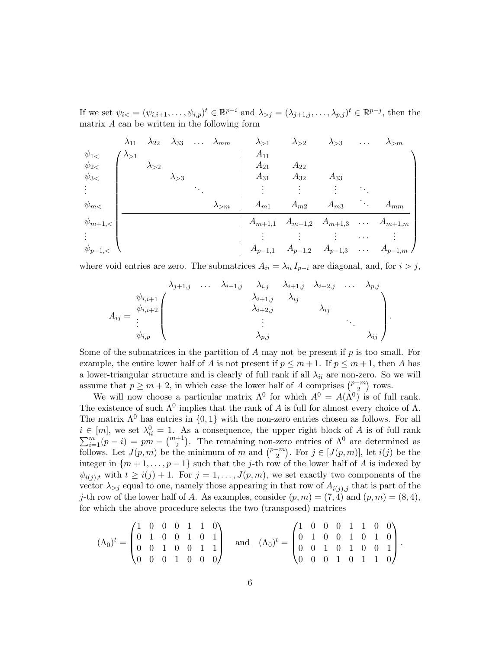If we set  $\psi_{i\lt} = (\psi_{i,i+1}, \ldots, \psi_{i,p})^t \in \mathbb{R}^{p-i}$  and  $\lambda_{>j} = (\lambda_{j+1,j}, \ldots, \lambda_{p,j})^t \in \mathbb{R}^{p-j}$ , then the matrix A can be written in the following form

|                | $\lambda_{11}$ |                |                | $\lambda_{22}$ $\lambda_{33}$ $\lambda_{mm}$ | $\lambda_{>1}$ | $\lambda_{>2}$                                           | $\lambda_{>3}$ | $\cdots$               | $\lambda_{>m}$ |
|----------------|----------------|----------------|----------------|----------------------------------------------|----------------|----------------------------------------------------------|----------------|------------------------|----------------|
| $\psi_{1}$     | $\lambda_{>1}$ |                |                |                                              | $A_{11}$       |                                                          |                |                        |                |
| $\psi_{2}$     |                | $\lambda_{>2}$ |                |                                              | $A_{21}$       | $A_{22}$                                                 |                |                        |                |
| $\psi_{3}<$    |                |                | $\lambda_{>3}$ |                                              | $A_{31}$       | $A_{32}$                                                 | $A_{33}$       |                        |                |
|                |                |                |                |                                              |                |                                                          | ٠              |                        |                |
| $\psi_{m}$     |                |                |                | $\lambda_{>m}$                               | $A_{m1}$       | $A_{m2}$                                                 | $A_{m3}$       | $\ddot{\phantom{a}}$ . | $A_{mm}$       |
| $\psi_{m+1,<}$ |                |                |                |                                              |                | $A_{m+1,1}$ $A_{m+1,2}$ $A_{m+1,3}$ $\ldots$ $A_{m+1,m}$ |                |                        |                |
|                |                |                |                |                                              |                |                                                          |                | $\cdots$               |                |
| $\psi_{p-1,<}$ |                |                |                |                                              |                | $A_{p-1,1}$ $A_{p-1,2}$ $A_{p-1,3}$                      |                |                        | $A_{p-1,m}$ /  |

where void entries are zero. The submatrices  $A_{ii} = \lambda_{ii} I_{p-i}$  are diagonal, and, for  $i > j$ ,

$$
\lambda_{j+1,j} \quad \ldots \quad \lambda_{i-1,j} \quad \lambda_{i,j} \quad \lambda_{i+1,j} \quad \lambda_{i+2,j} \quad \ldots \quad \lambda_{p,j}
$$
\n
$$
A_{ij} = \begin{pmatrix}\n\psi_{i,i+1} \\
\psi_{i,i+2} \\
\vdots \\
\psi_{i,p}\n\end{pmatrix} \qquad \qquad \lambda_{i+1,j} \qquad \lambda_{i,j} \qquad \qquad \lambda_{i,j}
$$
\n
$$
\lambda_{p,j} \qquad \qquad \lambda_{i,j}
$$

Some of the submatrices in the partition of A may not be present if  $p$  is too small. For example, the entire lower half of A is not present if  $p \leq m+1$ . If  $p \leq m+1$ , then A has a lower-triangular structure and is clearly of full rank if all  $\lambda_{ii}$  are non-zero. So we will assume that  $p \geq m+2$ , in which case the lower half of A comprises  $\binom{p-m}{2}$  rows.

We will now choose a particular matrix  $\Lambda^0$  for which  $A^0 = A(\Lambda^0)$  is of full rank. The existence of such  $\Lambda^0$  implies that the rank of A is full for almost every choice of  $\Lambda$ . The matrix  $\Lambda^0$  has entries in  $\{0,1\}$  with the non-zero entries chosen as follows. For all  $i \in [m]$ , we set  $\lambda_{ii}^0$  $\sum$  $\mathcal{L}^{\text{in}}_{i=1}(p-i) = pm - \binom{m+1}{2}$ . The remaining non-zero entries of  $\Lambda^0$  are determined as follows. Let  $J(p, m)$  be the minimum of m and  $\binom{p-m}{2}$ . For  $j \in [J(p, m)]$ , let  $i(j)$  be the integer in  $\{m+1,\ldots,p-1\}$  such that the j-th row of the lower half of A is indexed by  $\psi_{i(j),t}$  with  $t \geq i(j) + 1$ . For  $j = 1, \ldots, J(p,m)$ , we set exactly two components of the vector  $\lambda_{>j}$  equal to one, namely those appearing in that row of  $A_{i(j),j}$  that is part of the j-th row of the lower half of A. As examples, consider  $(p,m) = (7,4)$  and  $(p,m) = (8,4)$ , for which the above procedure selects the two (transposed) matrices

$$
(\Lambda_0)^t = \begin{pmatrix} 1 & 0 & 0 & 0 & 1 & 1 & 0 \\ 0 & 1 & 0 & 0 & 1 & 0 & 1 \\ 0 & 0 & 1 & 0 & 0 & 1 & 1 \\ 0 & 0 & 0 & 1 & 0 & 0 & 0 \end{pmatrix} \text{ and } (\Lambda_0)^t = \begin{pmatrix} 1 & 0 & 0 & 0 & 1 & 1 & 0 & 0 \\ 0 & 1 & 0 & 0 & 1 & 0 & 1 & 0 \\ 0 & 0 & 1 & 0 & 1 & 0 & 0 & 1 \\ 0 & 0 & 0 & 1 & 0 & 1 & 1 & 0 \end{pmatrix}.
$$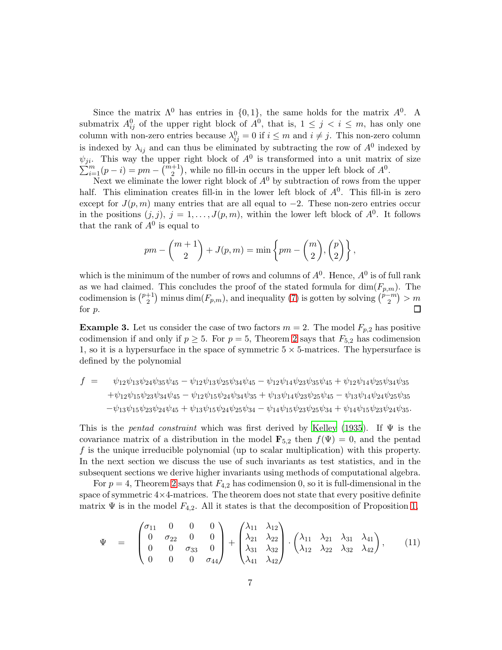Since the matrix  $\Lambda^0$  has entries in  $\{0,1\}$ , the same holds for the matrix  $\Lambda^0$ . A submatrix  $A_{ij}^0$  of the upper right block of  $A^0$ , that is,  $1 \leq j \leq i \leq m$ , has only one column with non-zero entries because  $\lambda_{ij}^0 = 0$  if  $i \leq m$  and  $i \neq j$ . This non-zero column is indexed by  $\lambda_{ij}$  and can thus be eliminated by subtracting the row of  $A^0$  indexed by  $\psi_{ji}$ . This way the upper right block of  $A^0$  is transformed into a unit matrix of size  $\sum_{i=1}^{m} (p-i) = pm - \binom{m+1}{2}$ , while no fill-in occurs in the upper left block of  $A^0$ .

Next we eliminate the lower right block of  $A^0$  by subtraction of rows from the upper half. This elimination creates fill-in in the lower left block of  $A<sup>0</sup>$ . This fill-in is zero except for  $J(p,m)$  many entries that are all equal to  $-2$ . These non-zero entries occur in the positions  $(j, j)$ ,  $j = 1, \ldots, J(p, m)$ , within the lower left block of  $A^0$ . It follows that the rank of  $A^0$  is equal to

$$
pm - {m+1 \choose 2} + J(p,m) = \min \left\{ pm - {m \choose 2}, {p \choose 2} \right\},\,
$$

which is the minimum of the number of rows and columns of  $A^0$ . Hence,  $A^0$  is of full rank as we had claimed. This concludes the proof of the stated formula for  $\dim(F_{p,m})$ . The codimension is  $\binom{p+1}{2}$  $\binom{p+1}{2}$  minus  $\dim(F_{p,m})$ , and inequality [\(7\)](#page-4-1) is gotten by solving  $\binom{p-m}{2}$  > m  $\Box$ for p.

<span id="page-6-1"></span>**Example 3.** Let us consider the case of two factors  $m = 2$ . The model  $F_{p,2}$  has positive codimension if and only if  $p \geq 5$ . For  $p = 5$ , Theorem [2](#page-3-2) says that  $F_{5,2}$  has codimension 1, so it is a hypersurface in the space of symmetric  $5 \times 5$ -matrices. The hypersurface is defined by the polynomial

$$
f = \psi_{12}\psi_{13}\psi_{24}\psi_{35}\psi_{45} - \psi_{12}\psi_{13}\psi_{25}\psi_{34}\psi_{45} - \psi_{12}\psi_{14}\psi_{23}\psi_{35}\psi_{45} + \psi_{12}\psi_{14}\psi_{25}\psi_{34}\psi_{35} + \psi_{12}\psi_{15}\psi_{23}\psi_{34}\psi_{45} - \psi_{12}\psi_{15}\psi_{24}\psi_{34}\psi_{35} + \psi_{13}\psi_{14}\psi_{23}\psi_{25}\psi_{45} - \psi_{13}\psi_{14}\psi_{24}\psi_{25}\psi_{35} - \psi_{13}\psi_{15}\psi_{23}\psi_{24}\psi_{45} + \psi_{13}\psi_{15}\psi_{24}\psi_{25}\psi_{34} - \psi_{14}\psi_{15}\psi_{23}\psi_{25}\psi_{34} + \psi_{14}\psi_{15}\psi_{23}\psi_{24}\psi_{35}.
$$

This is the *pentad constraint* which was first derived by [Kelley \(1935](#page-29-2)). If Ψ is the covariance matrix of a distribution in the model  $\mathbf{F}_{5,2}$  then  $f(\Psi) = 0$ , and the pentad f is the unique irreducible polynomial (up to scalar multiplication) with this property. In the next section we discuss the use of such invariants as test statistics, and in the subsequent sections we derive higher invariants using methods of computational algebra.

For  $p = 4$ , Theorem [2](#page-3-2) says that  $F_{4,2}$  has codimension 0, so it is full-dimensional in the space of symmetric  $4\times4$ -matrices. The theorem does not state that every positive definite matrix  $\Psi$  is in the model  $F_{4,2}$ . All it states is that the decomposition of Proposition [1,](#page-2-2)

<span id="page-6-0"></span>
$$
\Psi = \begin{pmatrix} \sigma_{11} & 0 & 0 & 0 \\ 0 & \sigma_{22} & 0 & 0 \\ 0 & 0 & \sigma_{33} & 0 \\ 0 & 0 & 0 & \sigma_{44} \end{pmatrix} + \begin{pmatrix} \lambda_{11} & \lambda_{12} \\ \lambda_{21} & \lambda_{22} \\ \lambda_{31} & \lambda_{32} \\ \lambda_{41} & \lambda_{42} \end{pmatrix} \cdot \begin{pmatrix} \lambda_{11} & \lambda_{21} & \lambda_{31} & \lambda_{41} \\ \lambda_{12} & \lambda_{22} & \lambda_{32} & \lambda_{42} \end{pmatrix}, \quad (11)
$$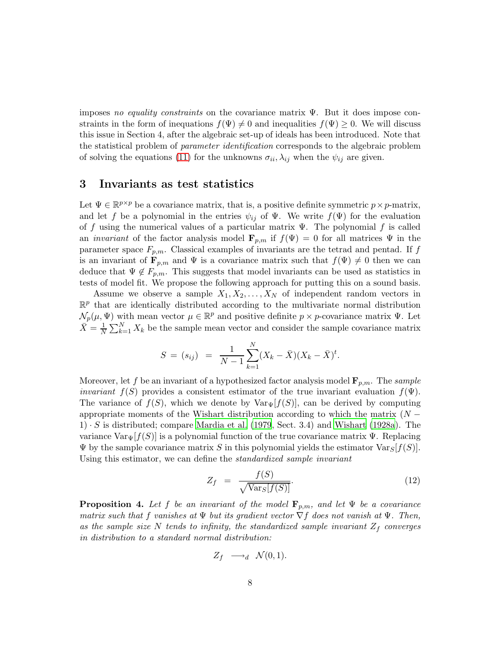imposes *no equality constraints* on the covariance matrix Ψ. But it does impose constraints in the form of inequations  $f(\Psi) \neq 0$  and inequalities  $f(\Psi) \geq 0$ . We will discuss this issue in Section 4, after the algebraic set-up of ideals has been introduced. Note that the statistical problem of *parameter identification* corresponds to the algebraic problem of solving the equations [\(11\)](#page-6-0) for the unknowns  $\sigma_{ii}$ ,  $\lambda_{ij}$  when the  $\psi_{ij}$  are given.

#### <span id="page-7-0"></span>3 Invariants as test statistics

Let  $\Psi \in \mathbb{R}^{p \times p}$  be a covariance matrix, that is, a positive definite symmetric  $p \times p$ -matrix, and let f be a polynomial in the entries  $\psi_{ij}$  of  $\Psi$ . We write  $f(\Psi)$  for the evaluation of f using the numerical values of a particular matrix  $\Psi$ . The polynomial f is called an *invariant* of the factor analysis model  $\mathbf{F}_{p,m}$  if  $f(\Psi) = 0$  for all matrices  $\Psi$  in the parameter space  $F_{p,m}$ . Classical examples of invariants are the tetrad and pentad. If f is an invariant of  $\mathbf{F}_{p,m}$  and  $\Psi$  is a covariance matrix such that  $f(\Psi) \neq 0$  then we can deduce that  $\Psi \notin F_{n,m}$ . This suggests that model invariants can be used as statistics in tests of model fit. We propose the following approach for putting this on a sound basis.

Assume we observe a sample  $X_1, X_2, \ldots, X_N$  of independent random vectors in  $\mathbb{R}^p$  that are identically distributed according to the multivariate normal distribution  $\mathcal{N}_p(\mu, \Psi)$  with mean vector  $\mu \in \mathbb{R}^p$  and positive definite  $p \times p$ -covariance matrix  $\Psi$ . Let  $\bar{X} = \frac{1}{N} \sum_{k=1}^{N} X_k$  be the sample mean vector and consider the sample covariance matrix

$$
S = (s_{ij}) = \frac{1}{N-1} \sum_{k=1}^{N} (X_k - \bar{X})(X_k - \bar{X})^t.
$$

Moreover, let f be an invariant of a hypothesized factor analysis model  $\mathbf{F}_{p,m}$ . The *sample invariant*  $f(S)$  provides a consistent estimator of the true invariant evaluation  $f(\Psi)$ . The variance of  $f(S)$ , which we denote by  $\text{Var}_{\Psi}[f(S)]$ , can be derived by computing appropriate moments of the Wishart distribution according to which the matrix  $(N 1) \cdot S$  is distributed; compare [Mardia et al. \(1979](#page-29-8), Sect. 3.4) and [Wishart \(1928a](#page-30-3)). The variance  $\text{Var}_{\Psi}[f(S)]$  is a polynomial function of the true covariance matrix  $\Psi$ . Replacing  $\Psi$  by the sample covariance matrix S in this polynomial yields the estimator  $Var_S[f(S)]$ . Using this estimator, we can define the *standardized sample invariant*

<span id="page-7-2"></span>
$$
Z_f = \frac{f(S)}{\sqrt{\text{Var}_S[f(S)]}}.\tag{12}
$$

<span id="page-7-1"></span>**Proposition 4.** Let f be an invariant of the model  $\mathbf{F}_{p,m}$ , and let  $\Psi$  be a covariance *matrix such that* f *vanishes at* Ψ *but its gradient vector* ∇f *does not vanish at* Ψ*. Then,* as the sample size N tends to infinity, the standardized sample invariant  $Z_f$  converges *in distribution to a standard normal distribution:*

$$
Z_f \longrightarrow_d \mathcal{N}(0,1).
$$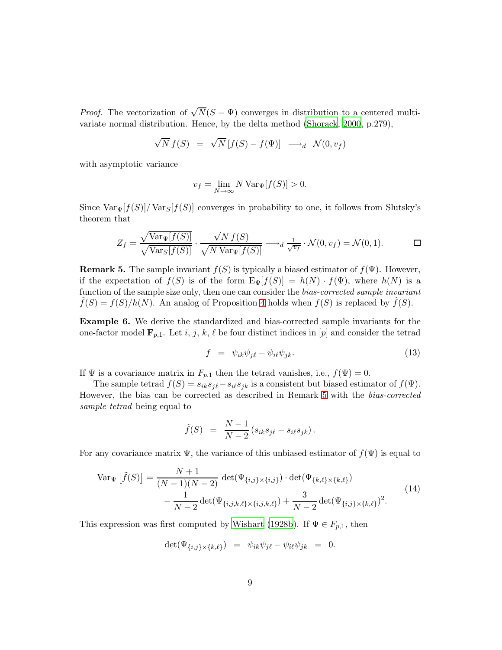*Proof.* The vectorization of  $\sqrt{N}(S - \Psi)$  converges in distribution to a centered multivariate normal distribution. Hence, by the delta method [\(Shorack](#page-30-4), [2000](#page-30-4), p.279),

$$
\sqrt{N} f(S) = \sqrt{N} [f(S) - f(\Psi)] \longrightarrow_d \mathcal{N}(0, v_f)
$$

with asymptotic variance

$$
v_f = \lim_{N \to \infty} N \operatorname{Var}_{\Psi}[f(S)] > 0.
$$

Since  $\text{Var}_{\Psi}[f(S)]/\text{Var}_{S}[f(S)]$  converges in probability to one, it follows from Slutsky's theorem that

$$
Z_f = \frac{\sqrt{\text{Var}_{\Psi}[f(S)]}}{\sqrt{\text{Var}_{S}[f(S)]}} \cdot \frac{\sqrt{N} f(S)}{\sqrt{N \text{Var}_{\Psi}[f(S)]}} \longrightarrow_d \frac{1}{\sqrt{v_f}} \cdot \mathcal{N}(0, v_f) = \mathcal{N}(0, 1). \Box
$$

<span id="page-8-0"></span>**Remark 5.** The sample invariant  $f(S)$  is typically a biased estimator of  $f(\Psi)$ . However, if the expectation of  $f(S)$  is of the form  $E_{\Psi}[f(S)] = h(N) \cdot f(\Psi)$ , where  $h(N)$  is a function of the sample size only, then one can consider the *bias-corrected sample invariant*  $f(S) = f(S)/h(N)$ . An analog of Proposition [4](#page-7-1) holds when  $f(S)$  is replaced by  $f(S)$ .

Example 6. We derive the standardized and bias-corrected sample invariants for the one-factor model  $\mathbf{F}_{p,1}$ . Let i, j, k,  $\ell$  be four distinct indices in [p] and consider the tetrad

$$
f = \psi_{ik}\psi_{j\ell} - \psi_{i\ell}\psi_{jk}.
$$
 (13)

If  $\Psi$  is a covariance matrix in  $F_{p,1}$  then the tetrad vanishes, i.e.,  $f(\Psi) = 0$ .

The sample tetrad  $f(S) = s_{ik}s_{j\ell} - s_{i\ell}s_{jk}$  is a consistent but biased estimator of  $f(\Psi)$ . However, the bias can be corrected as described in Remark [5](#page-8-0) with the *bias-corrected sample tetrad* being equal to

$$
\tilde{f}(S) = \frac{N-1}{N-2} (s_{ik} s_{j\ell} - s_{i\ell} s_{jk}).
$$

For any covariance matrix  $\Psi$ , the variance of this unbiased estimator of  $f(\Psi)$  is equal to

<span id="page-8-1"></span>
$$
\text{Var}_{\Psi} \left[ \tilde{f}(S) \right] = \frac{N+1}{(N-1)(N-2)} \det(\Psi_{\{i,j\} \times \{i,j\}}) \cdot \det(\Psi_{\{k,\ell\} \times \{k,\ell\}}) - \frac{1}{N-2} \det(\Psi_{\{i,j,k,\ell\} \times \{i,j,k,\ell\}}) + \frac{3}{N-2} \det(\Psi_{\{i,j\} \times \{k,\ell\}})^2.
$$
\n(14)

This expression was first computed by [Wishart \(1928b\)](#page-30-5). If  $\Psi \in F_{p,1}$ , then

$$
\det(\Psi_{\{i,j\}\times\{k,\ell\}}) = \psi_{ik}\psi_{j\ell} - \psi_{i\ell}\psi_{jk} = 0.
$$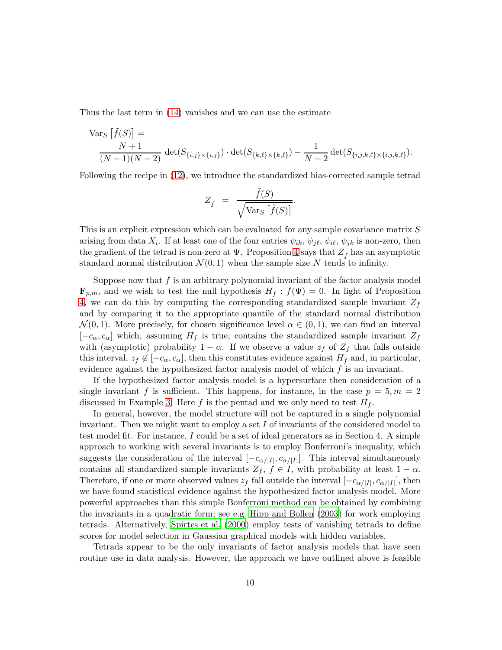Thus the last term in [\(14\)](#page-8-1) vanishes and we can use the estimate

$$
\begin{aligned} \text{Var}_S \left[ \tilde{f}(S) \right] &= \\ &\frac{N+1}{(N-1)(N-2)} \, \det(S_{\{i,j\} \times \{i,j\}}) \cdot \det(S_{\{k,\ell\} \times \{k,\ell\}}) - \frac{1}{N-2} \det(S_{\{i,j,k,\ell\} \times \{i,j,k,\ell\}}). \end{aligned}
$$

Following the recipe in [\(12\)](#page-7-2), we introduce the standardized bias-corrected sample tetrad

$$
Z_{\tilde{f}} = \frac{\tilde{f}(S)}{\sqrt{\text{Var}_S \left[\tilde{f}(S)\right]}}.
$$

This is an explicit expression which can be evaluated for any sample covariance matrix S arising from data  $X_i$ . If at least one of the four entries  $\psi_{ik}, \psi_{j\ell}, \psi_{i\ell}, \psi_{jk}$  is non-zero, then the gradient of the tetrad is non-zero at  $\Psi$ . Proposition [4](#page-7-1) says that  $Z_{\tilde{f}}$  has an asymptotic standard normal distribution  $\mathcal{N}(0,1)$  when the sample size N tends to infinity.

Suppose now that  $f$  is an arbitrary polynomial invariant of the factor analysis model  $\mathbf{F}_{p,m}$ , and we wish to test the null hypothesis  $H_f : f(\Psi) = 0$ . In light of Proposition [4,](#page-7-1) we can do this by computing the corresponding standardized sample invariant  $Z_f$ and by comparing it to the appropriate quantile of the standard normal distribution  $\mathcal{N}(0, 1)$ . More precisely, for chosen significance level  $\alpha \in (0, 1)$ , we can find an interval  $[-c_{\alpha},c_{\alpha}]$  which, assuming  $H_f$  is true, contains the standardized sample invariant  $Z_f$ with (asymptotic) probability  $1 - \alpha$ . If we observe a value  $z_f$  of  $Z_f$  that falls outside this interval,  $z_f \notin [-c_\alpha, c_\alpha]$ , then this constitutes evidence against  $H_f$  and, in particular, evidence against the hypothesized factor analysis model of which  $f$  is an invariant.

If the hypothesized factor analysis model is a hypersurface then consideration of a single invariant f is sufficient. This happens, for instance, in the case  $p = 5, m = 2$ discussed in Example [3.](#page-6-1) Here f is the pentad and we only need to test  $H_f$ .

In general, however, the model structure will not be captured in a single polynomial invariant. Then we might want to employ a set I of invariants of the considered model to test model fit. For instance, I could be a set of ideal generators as in Section 4. A simple approach to working with several invariants is to employ Bonferroni's inequality, which suggests the consideration of the interval  $[-c_{\alpha/|I|}, c_{\alpha/|I|}]$ . This interval simultaneously contains all standardized sample invariants  $Z_f$ ,  $f \in I$ , with probability at least  $1 - \alpha$ . Therefore, if one or more observed values  $z_f$  fall outside the interval  $[-c_{\alpha/|I|}, c_{\alpha/|I|}]$ , then we have found statistical evidence against the hypothesized factor analysis model. More powerful approaches than this simple Bonferroni method can be obtained by combining the invariants in a quadratic form; see e.g. [Hipp and Bollen \(2003\)](#page-29-9) for work employing tetrads. Alternatively, [Spirtes et al. \(2000](#page-30-6)) employ tests of vanishing tetrads to define scores for model selection in Gaussian graphical models with hidden variables.

Tetrads appear to be the only invariants of factor analysis models that have seen routine use in data analysis. However, the approach we have outlined above is feasible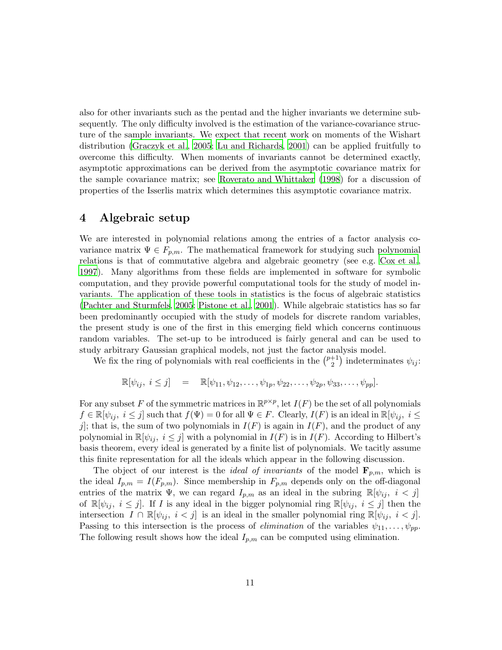also for other invariants such as the pentad and the higher invariants we determine subsequently. The only difficulty involved is the estimation of the variance-covariance structure of the sample invariants. We expect that recent work on moments of the Wishart distribution [\(Graczyk et al., 2005;](#page-29-10) [Lu and Richards, 2001\)](#page-29-11) can be applied fruitfully to overcome this difficulty. When moments of invariants cannot be determined exactly, asymptotic approximations can be derived from the asymptotic covariance matrix for the sample covariance matrix; see [Roverato and Whittaker \(1998\)](#page-29-12) for a discussion of properties of the Isserlis matrix which determines this asymptotic covariance matrix.

# <span id="page-10-0"></span>4 Algebraic setup

We are interested in polynomial relations among the entries of a factor analysis covariance matrix  $\Psi \in F_{p,m}$ . The mathematical framework for studying such polynomial relations is that of commutative algebra and algebraic geometry (see e.g. [Cox et al.](#page-28-5), [1997\)](#page-28-5). Many algorithms from these fields are implemented in software for symbolic computation, and they provide powerful computational tools for the study of model invariants. The application of these tools in statistics is the focus of algebraic statistics [\(Pachter and Sturmfels, 2005;](#page-29-3) [Pistone et al.](#page-29-4), [2001](#page-29-4)). While algebraic statistics has so far been predominantly occupied with the study of models for discrete random variables, the present study is one of the first in this emerging field which concerns continuous random variables. The set-up to be introduced is fairly general and can be used to study arbitrary Gaussian graphical models, not just the factor analysis model.

We fix the ring of polynomials with real coefficients in the  $\binom{p+1}{2}$  $\binom{+1}{2}$  indeterminates  $\psi_{ij}$ :

$$
\mathbb{R}[\psi_{ij}, \, i \leq j] = \mathbb{R}[\psi_{11}, \psi_{12}, \dots, \psi_{1p}, \psi_{22}, \dots, \psi_{2p}, \psi_{33}, \dots, \psi_{pp}].
$$

For any subset F of the symmetric matrices in  $\mathbb{R}^{p \times p}$ , let  $I(F)$  be the set of all polynomials  $f \in \mathbb{R}[\psi_{ij}, i \leq j]$  such that  $f(\Psi) = 0$  for all  $\Psi \in F$ . Clearly,  $I(F)$  is an ideal in  $\mathbb{R}[\psi_{ij}, i \leq j]$ j; that is, the sum of two polynomials in  $I(F)$  is again in  $I(F)$ , and the product of any polynomial in  $\mathbb{R}[\psi_{ij}, i \leq j]$  with a polynomial in  $I(F)$  is in  $I(F)$ . According to Hilbert's basis theorem, every ideal is generated by a finite list of polynomials. We tacitly assume this finite representation for all the ideals which appear in the following discussion.

<span id="page-10-1"></span>The object of our interest is the *ideal of invariants* of the model  $\mathbf{F}_{p,m}$ , which is the ideal  $I_{p,m} = I(F_{p,m})$ . Since membership in  $F_{p,m}$  depends only on the off-diagonal entries of the matrix  $\Psi$ , we can regard  $I_{p,m}$  as an ideal in the subring  $\mathbb{R}[\psi_{ij}, i < j]$ of  $\mathbb{R}[\psi_{ij}, i \leq j]$ . If I is any ideal in the bigger polynomial ring  $\mathbb{R}[\psi_{ij}, i \leq j]$  then the intersection  $I \cap \mathbb{R}[\psi_{ij}, i < j]$  is an ideal in the smaller polynomial ring  $\mathbb{R}[\psi_{ij}, i < j]$ . Passing to this intersection is the process of *elimination* of the variables  $\psi_{11}, \dots, \psi_{pp}$ . The following result shows how the ideal  $I_{p,m}$  can be computed using elimination.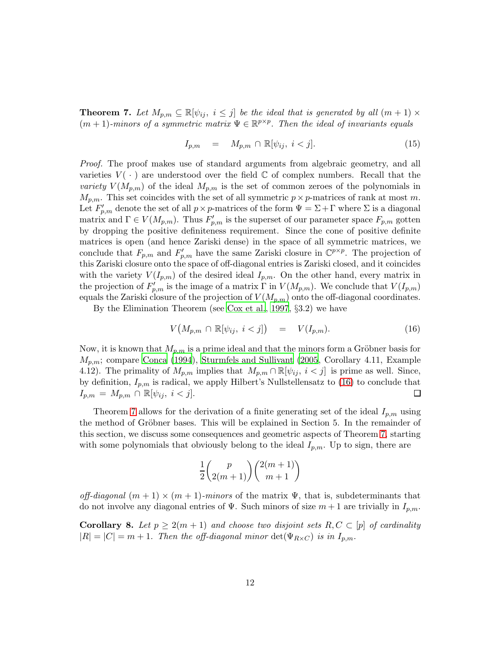**Theorem 7.** Let  $M_{p,m} \subseteq \mathbb{R}[\psi_{ij}, i \leq j]$  be the ideal that is generated by all  $(m+1) \times$  $(m+1)$ -minors of a symmetric matrix  $\Psi \in \mathbb{R}^{p \times p}$ . Then the ideal of invariants equals

<span id="page-11-1"></span>
$$
I_{p,m} = M_{p,m} \cap \mathbb{R}[\psi_{ij}, i < j]. \tag{15}
$$

*Proof.* The proof makes use of standard arguments from algebraic geometry, and all varieties  $V(\cdot)$  are understood over the field  $\mathbb C$  of complex numbers. Recall that the *variety*  $V(M_{p,m})$  of the ideal  $M_{p,m}$  is the set of common zeroes of the polynomials in  $M_{p,m}$ . This set coincides with the set of all symmetric  $p \times p$ -matrices of rank at most m. Let  $F'_{p,m}$  denote the set of all  $p \times p$ -matrices of the form  $\Psi = \Sigma + \Gamma$  where  $\Sigma$  is a diagonal matrix and  $\Gamma \in V(M_{p,m})$ . Thus  $F'_{p,m}$  is the superset of our parameter space  $F_{p,m}$  gotten by dropping the positive definiteness requirement. Since the cone of positive definite matrices is open (and hence Zariski dense) in the space of all symmetric matrices, we conclude that  $F_{p,m}$  and  $F'_{p,m}$  have the same Zariski closure in  $\mathbb{C}^{p\times p}$ . The projection of this Zariski closure onto the space of off-diagonal entries is Zariski closed, and it coincides with the variety  $V(I_{p,m})$  of the desired ideal  $I_{p,m}$ . On the other hand, every matrix in the projection of  $F'_{p,m}$  is the image of a matrix  $\Gamma$  in  $V(M_{p,m})$ . We conclude that  $V(I_{p,m})$ equals the Zariski closure of the projection of  $V(M_{p,m})$  onto the off-diagonal coordinates.

By the Elimination Theorem (see [Cox et al.](#page-28-5), [1997](#page-28-5), §3.2) we have

<span id="page-11-0"></span>
$$
V\big(M_{p,m}\,\cap\,\mathbb{R}[\psi_{ij},\,i
$$

Now, it is known that  $M_{p,m}$  is a prime ideal and that the minors form a Gröbner basis for  $M_{p,m}$ ; compare [Conca \(1994](#page-28-6)), [Sturmfels and Sullivant \(2005](#page-30-7), Corollary 4.11, Example 4.12). The primality of  $M_{p,m}$  implies that  $M_{p,m} \cap \mathbb{R}[\psi_{ij}, i < j]$  is prime as well. Since, by definition,  $I_{p,m}$  is radical, we apply Hilbert's Nullstellensatz to [\(16\)](#page-11-0) to conclude that  $I_{p,m} = M_{p,m} \cap \mathbb{R}[\psi_{ij}, i < j].$  $\Box$ 

Theorem [7](#page-10-1) allows for the derivation of a finite generating set of the ideal  $I_{p,m}$  using the method of Gröbner bases. This will be explained in Section 5. In the remainder of this section, we discuss some consequences and geometric aspects of Theorem [7,](#page-10-1) starting with some polynomials that obviously belong to the ideal  $I_{p,m}$ . Up to sign, there are

$$
\frac{1}{2}\binom{p}{2(m+1)}\binom{2(m+1)}{m+1}
$$

*off-diagonal*  $(m + 1) \times (m + 1)$ *-minors* of the matrix  $\Psi$ , that is, subdeterminants that do not involve any diagonal entries of  $\Psi$ . Such minors of size  $m+1$  are trivially in  $I_{p,m}$ .

**Corollary 8.** Let  $p \geq 2(m+1)$  and choose two disjoint sets  $R, C \subset [p]$  of cardinality  $|R| = |C| = m + 1$ *. Then the off-diagonal minor*  $\det(\Psi_{R \times C})$  *is in*  $I_{p,m}$ *.*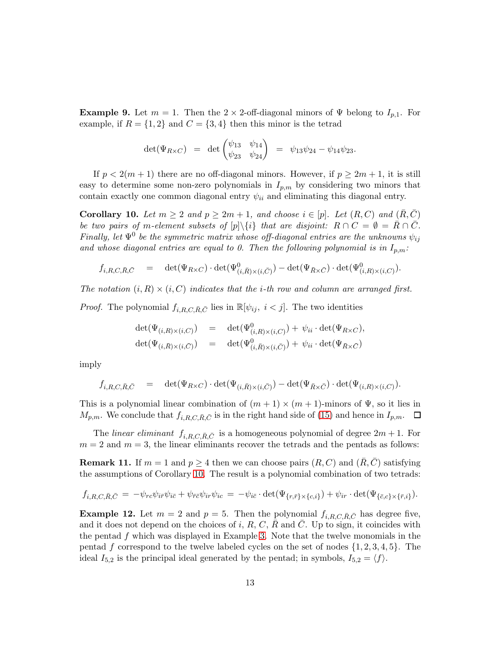**Example 9.** Let  $m = 1$ . Then the 2 × 2-off-diagonal minors of  $\Psi$  belong to  $I_{p,1}$ . For example, if  $R = \{1, 2\}$  and  $C = \{3, 4\}$  then this minor is the tetrad

$$
\det(\Psi_{R\times C}) = \det \begin{pmatrix} \psi_{13} & \psi_{14} \\ \psi_{23} & \psi_{24} \end{pmatrix} = \psi_{13}\psi_{24} - \psi_{14}\psi_{23}.
$$

If  $p < 2(m + 1)$  there are no off-diagonal minors. However, if  $p \geq 2m + 1$ , it is still easy to determine some non-zero polynomials in  $I_{p,m}$  by considering two minors that contain exactly one common diagonal entry  $\psi_{ii}$  and eliminating this diagonal entry.

<span id="page-12-0"></span>**Corollary 10.** Let  $m \geq 2$  and  $p \geq 2m + 1$ , and choose  $i \in [p]$ . Let  $(R, C)$  and  $(\overline{R}, \overline{C})$ *be two pairs of m-element subsets of*  $[p]\setminus\{i\}$  *that are disjoint:*  $R \cap C = \emptyset = \overline{R} \cap \overline{C}$ *. Finally, let*  $\Psi^0$  *be the symmetric matrix whose off-diagonal entries are the unknowns*  $\psi_{ij}$ and whose diagonal entries are equal to 0. Then the following polynomial is in  $I_{p,m}$ :

$$
f_{i,R,C,\bar{R},\bar{C}} = \det(\Psi_{R\times C}) \cdot \det(\Psi^0_{(i,\bar{R})\times(i,\bar{C})}) - \det(\Psi_{\bar{R}\times\bar{C}}) \cdot \det(\Psi^0_{(i,R)\times(i,C)}).
$$

*The notation*  $(i, R) \times (i, C)$  *indicates that the i-th row and column are arranged first.* 

*Proof.* The polynomial  $f_{i,R,C,\bar{R},\bar{C}}$  lies in  $\mathbb{R}[\psi_{ij}, i < j]$ . The two identities

$$
\begin{array}{rcl}\n\det(\Psi_{(i,R)\times(i,C)}) & = & \det(\Psi^0_{(i,R)\times(i,C)}) + \psi_{ii} \cdot \det(\Psi_{R\times C}), \\
\det(\Psi_{(i,\bar{R})\times(i,\bar{C})}) & = & \det(\Psi^0_{(i,\bar{R})\times(i,\bar{C})}) + \psi_{ii} \cdot \det(\Psi_{\bar{R}\times\bar{C}})\n\end{array}
$$

imply

$$
f_{i,R,C,\bar{R},\bar{C}} = \det(\Psi_{R\times C}) \cdot \det(\Psi_{(i,\bar{R})\times(i,\bar{C})}) - \det(\Psi_{\bar{R}\times\bar{C}}) \cdot \det(\Psi_{(i,R)\times(i,C)}).
$$

This is a polynomial linear combination of  $(m + 1) \times (m + 1)$ -minors of  $\Psi$ , so it lies in  $M_{p,m}$ . We conclude that  $f_{i,R,C,\bar{R},\bar{C}}$  is in the right hand side of [\(15\)](#page-11-1) and hence in  $I_{p,m}$ .  $\Box$ 

The *linear eliminant*  $f_{i, R, C, \bar{R}, \bar{C}}$  is a homogeneous polynomial of degree  $2m + 1$ . For  $m = 2$  and  $m = 3$ , the linear eliminants recover the tetrads and the pentads as follows:

**Remark 11.** If  $m = 1$  and  $p \ge 4$  then we can choose pairs  $(R, C)$  and  $(\overline{R}, \overline{C})$  satisfying the assumptions of Corollary [10.](#page-12-0) The result is a polynomial combination of two tetrads:

$$
f_{i,R,C,\bar{R},\bar{C}} = -\psi_{rc}\psi_{i\bar{r}}\psi_{i\bar{c}} + \psi_{\bar{r}\bar{c}}\psi_{ir}\psi_{ic} = -\psi_{i\bar{c}} \cdot \det(\Psi_{\{r,\bar{r}\}\times\{c,i\}}) + \psi_{ir} \cdot \det(\Psi_{\{\bar{c},c\}\times\{\bar{r},i\}}).
$$

**Example 12.** Let  $m = 2$  and  $p = 5$ . Then the polynomial  $f_{i,R,C,R,C}$  has degree five, and it does not depend on the choices of i, R, C,  $\overline{R}$  and  $\overline{C}$ . Up to sign, it coincides with the pentad f which was displayed in Example [3.](#page-6-1) Note that the twelve monomials in the pentad f correspond to the twelve labeled cycles on the set of nodes  $\{1, 2, 3, 4, 5\}$ . The ideal  $I_{5,2}$  is the principal ideal generated by the pentad; in symbols,  $I_{5,2} = \langle f \rangle$ .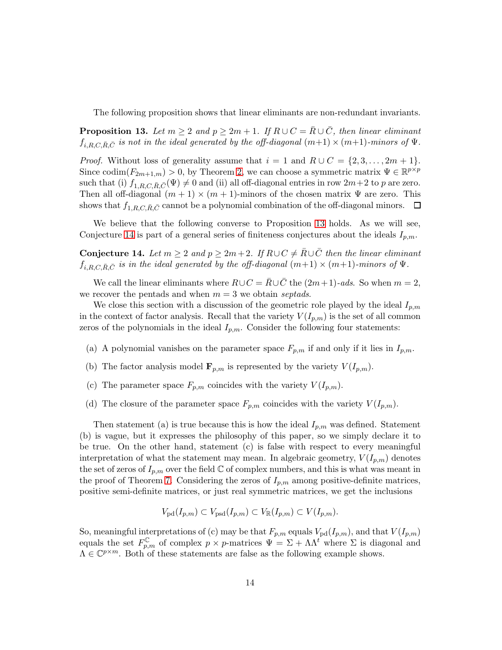<span id="page-13-0"></span>The following proposition shows that linear eliminants are non-redundant invariants.

**Proposition 13.** Let  $m \geq 2$  and  $p \geq 2m + 1$ . If  $R \cup C = \overline{R} \cup \overline{C}$ , then linear eliminant  $f_{i,R,C,\bar{R},\bar{C}}$  *is not in the ideal generated by the off-diagonal*  $(m+1) \times (m+1)$ *-minors of*  $\Psi$ *.* 

*Proof.* Without loss of generality assume that  $i = 1$  and  $R \cup C = \{2, 3, ..., 2m + 1\}$ . Since codim $(F_{2m+1,m}) > 0$ , by Theorem [2,](#page-3-2) we can choose a symmetric matrix  $\Psi \in \mathbb{R}^{p \times p}$ such that (i)  $f_{1,R,C,\bar{R},\bar{C}}(\Psi) \neq 0$  and (ii) all off-diagonal entries in row  $2m+2$  to p are zero. Then all off-diagonal  $(m + 1) \times (m + 1)$ -minors of the chosen matrix  $\Psi$  are zero. This shows that  $f_{1,R,C,\bar{R},\bar{C}}$  cannot be a polynomial combination of the off-diagonal minors.  $\Box$ 

<span id="page-13-1"></span>We believe that the following converse to Proposition [13](#page-13-0) holds. As we will see, Conjecture [14](#page-13-1) is part of a general series of finiteness conjectures about the ideals  $I_{n,m}$ .

Conjecture 14. Let  $m \geq 2$  and  $p \geq 2m+2$ . If  $R \cup C \neq \overline{R} \cup \overline{C}$  then the linear eliminant  $f_{i,R,C,\bar{R},\bar{C}}$  *is in the ideal generated by the off-diagonal*  $(m+1) \times (m+1)$ *-minors of*  $\Psi$ *.* 

We call the linear eliminants where  $R\cup C = \overline{R}\cup\overline{C}$  the  $(2m+1)$ *-ads.* So when  $m=2$ , we recover the pentads and when  $m = 3$  we obtain *septads*.

We close this section with a discussion of the geometric role played by the ideal  $I_{p,m}$ in the context of factor analysis. Recall that the variety  $V(I_{p,m})$  is the set of all common zeros of the polynomials in the ideal  $I_{p,m}$ . Consider the following four statements:

- (a) A polynomial vanishes on the parameter space  $F_{p,m}$  if and only if it lies in  $I_{p,m}$ .
- (b) The factor analysis model  $\mathbf{F}_{p,m}$  is represented by the variety  $V(I_{p,m})$ .
- (c) The parameter space  $F_{p,m}$  coincides with the variety  $V(I_{p,m})$ .
- (d) The closure of the parameter space  $F_{p,m}$  coincides with the variety  $V(I_{p,m})$ .

Then statement (a) is true because this is how the ideal  $I_{p,m}$  was defined. Statement (b) is vague, but it expresses the philosophy of this paper, so we simply declare it to be true. On the other hand, statement (c) is false with respect to every meaningful interpretation of what the statement may mean. In algebraic geometry,  $V(I_{p,m})$  denotes the set of zeros of  $I_{p,m}$  over the field C of complex numbers, and this is what was meant in the proof of Theorem [7.](#page-10-1) Considering the zeros of  $I_{p,m}$  among positive-definite matrices, positive semi-definite matrices, or just real symmetric matrices, we get the inclusions

$$
V_{\text{pd}}(I_{p,m}) \subset V_{\text{psd}}(I_{p,m}) \subset V_{\mathbb{R}}(I_{p,m}) \subset V(I_{p,m}).
$$

So, meaningful interpretations of (c) may be that  $F_{p,m}$  equals  $V_{\text{pd}}(I_{p,m})$ , and that  $V(I_{p,m})$ equals the set  $F_{p,m}^{\mathbb{C}}$  of complex  $p \times p$ -matrices  $\Psi = \Sigma + \Lambda \Lambda^t$  where  $\Sigma$  is diagonal and  $\Lambda \in \mathbb{C}^{p \times m}$ . Both of these statements are false as the following example shows.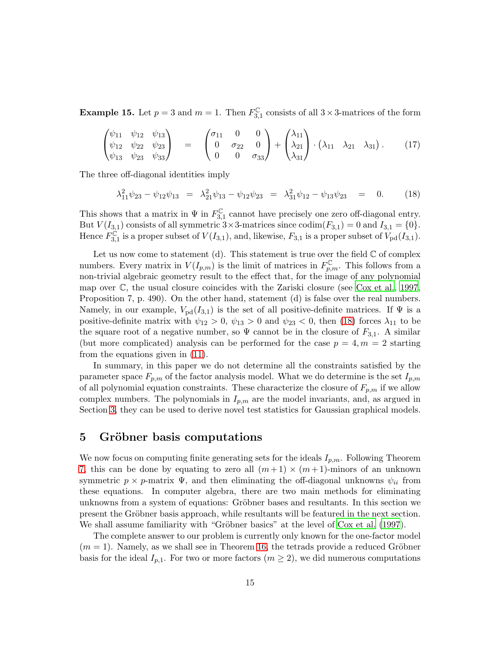**Example 15.** Let  $p = 3$  and  $m = 1$ . Then  $F_3^{\mathbb{C}}$  $_{3,1}^{\mathbb{C}}$  consists of all  $3 \times 3$ -matrices of the form

$$
\begin{pmatrix}\n\psi_{11} & \psi_{12} & \psi_{13} \\
\psi_{12} & \psi_{22} & \psi_{23} \\
\psi_{13} & \psi_{23} & \psi_{33}\n\end{pmatrix} = \begin{pmatrix}\n\sigma_{11} & 0 & 0 \\
0 & \sigma_{22} & 0 \\
0 & 0 & \sigma_{33}\n\end{pmatrix} + \begin{pmatrix}\n\lambda_{11} \\
\lambda_{21} \\
\lambda_{31}\n\end{pmatrix} \cdot \begin{pmatrix}\n\lambda_{11} & \lambda_{21} & \lambda_{31}\n\end{pmatrix}.
$$
\n(17)

The three off-diagonal identities imply

<span id="page-14-1"></span>
$$
\lambda_{11}^2 \psi_{23} - \psi_{12} \psi_{13} = \lambda_{21}^2 \psi_{13} - \psi_{12} \psi_{23} = \lambda_{31}^2 \psi_{12} - \psi_{13} \psi_{23} = 0. \quad (18)
$$

This shows that a matrix in  $\Psi$  in  $F_3^{\mathbb{C}}$  $_{3,1}^{\mathbb{C}}$  cannot have precisely one zero off-diagonal entry. But  $V(I_{3,1})$  consists of all symmetric  $3\times 3$ -matrices since  $\text{codim}(F_{3,1}) = 0$  and  $I_{3,1} = \{0\}.$ Hence  $F_3^{\mathbb{C}}$  $C_{3,1}^{\mathbb{C}}$  is a proper subset of  $V(I_{3,1}),$  and, likewise,  $F_{3,1}$  is a proper subset of  $V_{\text{pd}}(I_{3,1}).$ 

Let us now come to statement (d). This statement is true over the field  $\mathbb C$  of complex numbers. Every matrix in  $V(I_{p,m})$  is the limit of matrices in  $F_{p,m}^{\mathbb{C}}$ . This follows from a non-trivial algebraic geometry result to the effect that, for the image of any polynomial map over C, the usual closure coincides with the Zariski closure (see [Cox et al.](#page-28-5), [1997](#page-28-5), Proposition 7, p. 490). On the other hand, statement (d) is false over the real numbers. Namely, in our example,  $V_{\text{pd}}(I_{3,1})$  is the set of all positive-definite matrices. If  $\Psi$  is a positive-definite matrix with  $\psi_{12} > 0$ ,  $\psi_{13} > 0$  and  $\psi_{23} < 0$ , then [\(18\)](#page-14-1) forces  $\lambda_{11}$  to be the square root of a negative number, so  $\Psi$  cannot be in the closure of  $F_{3,1}$ . A similar (but more complicated) analysis can be performed for the case  $p = 4, m = 2$  starting from the equations given in [\(11\)](#page-6-0).

In summary, in this paper we do not determine all the constraints satisfied by the parameter space  $F_{p,m}$  of the factor analysis model. What we do determine is the set  $I_{p,m}$ of all polynomial equation constraints. These characterize the closure of  $F_{p,m}$  if we allow complex numbers. The polynomials in  $I_{p,m}$  are the model invariants, and, as argued in Section [3,](#page-7-0) they can be used to derive novel test statistics for Gaussian graphical models.

### <span id="page-14-0"></span>5 Gröbner basis computations

We now focus on computing finite generating sets for the ideals  $I_{p,m}$ . Following Theorem [7,](#page-10-1) this can be done by equating to zero all  $(m+1) \times (m+1)$ -minors of an unknown symmetric  $p \times p$ -matrix  $\Psi$ , and then eliminating the off-diagonal unknowns  $\psi_{ii}$  from these equations. In computer algebra, there are two main methods for eliminating unknowns from a system of equations: Gröbner bases and resultants. In this section we present the Gröbner basis approach, while resultants will be featured in the next section. We shall assume familiarity with "Gröbner basics" at the level of  $Cox$  et al. (1997).

The complete answer to our problem is currently only known for the one-factor model  $(m = 1)$ . Namely, as we shall see in Theorem [16,](#page-15-0) the tetrads provide a reduced Gröbner basis for the ideal  $I_{p,1}$ . For two or more factors  $(m \geq 2)$ , we did numerous computations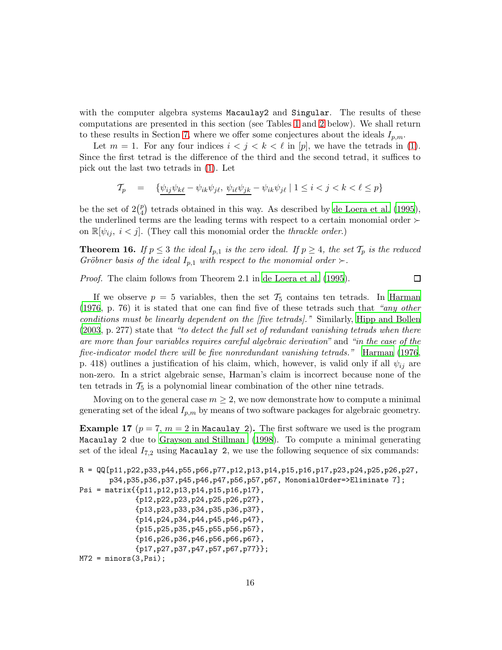with the computer algebra systems Macaulay2 and Singular. The results of these computations are presented in this section (see Tables [1](#page-16-0) and [2](#page-18-1) below). We shall return to these results in Section [7,](#page-23-0) where we offer some conjectures about the ideals  $I_{p,m}$ .

Let  $m = 1$ . For any four indices  $i < j < k < \ell$  in [p], we have the tetrads in [\(1\)](#page-1-0). Since the first tetrad is the difference of the third and the second tetrad, it suffices to pick out the last two tetrads in [\(1\)](#page-1-0). Let

$$
\mathcal{T}_p = \{ \psi_{ij} \psi_{k\ell} - \psi_{ik} \psi_{j\ell}, \psi_{i\ell} \psi_{jk} - \psi_{ik} \psi_{j\ell} \mid 1 \le i < j < k < \ell \le p \}
$$

be the set of  $2\binom{p}{4}$  $_{4}^{p}$ ) tetrads obtained in this way. As described by [de Loera et al. \(1995](#page-28-7)), the underlined terms are the leading terms with respect to a certain monomial order ≻ on  $\mathbb{R}[\psi_{ij}, i < j]$ . (They call this monomial order the *thrackle order*.)

<span id="page-15-0"></span>**Theorem 16.** *If*  $p \leq 3$  *the ideal*  $I_{p,1}$  *is the zero ideal. If*  $p \geq 4$ *, the set*  $\mathcal{T}_p$  *is the reduced Gröbner basis of the ideal*  $I_{p,1}$  *with respect to the monomial order* ≻*.* 

*Proof.* The claim follows from Theorem 2.1 in [de Loera et al. \(1995](#page-28-7)).

□

If we observe  $p = 5$  variables, then the set  $\mathcal{T}_5$  contains ten tetrads. In [Harman](#page-29-0) [\(1976](#page-29-0), p. 76) it is stated that one can find five of these tetrads such that *"any other conditions must be linearly dependent on the [five tetrads].'*' Similarly, [Hipp and Bollen](#page-29-9) [\(2003](#page-29-9), p. 277) state that *"to detect the full set of redundant vanishing tetrads when there are more than four variables requires careful algebraic derivation"* and *"in the case of the five-indicator model there will be five nonredundant vanishing tetrads."* [Harman \(1976](#page-29-0), p. 418) outlines a justification of his claim, which, however, is valid only if all  $\psi_{ij}$  are non-zero. In a strict algebraic sense, Harman's claim is incorrect because none of the ten tetrads in  $\mathcal{T}_5$  is a polynomial linear combination of the other nine tetrads.

<span id="page-15-1"></span>Moving on to the general case  $m \geq 2$ , we now demonstrate how to compute a minimal generating set of the ideal  $I_{p,m}$  by means of two software packages for algebraic geometry.

**Example 17** ( $p = 7$ ,  $m = 2$  in Macaulay 2). The first software we used is the program Macaulay 2 due to [Grayson and Stillman \(1998](#page-29-13)). To compute a minimal generating set of the ideal  $I_{7,2}$  using Macaulay 2, we use the following sequence of six commands:

```
R = QQ[p11, p22, p33, p44, p55, p66, p77, p12, p13, p14, p15, p16, p17, p23, p24, p25, p26, p27,p34,p35,p36,p37,p45,p46,p47,p56,p57,p67, MonomialOrder=>Eliminate 7];
Psi = matrix{{p11,p12,p13,p14,p15,p16,p17},
             {p12,p22,p23,p24,p25,p26,p27},
             {p13,p23,p33,p34,p35,p36,p37},
             {p14,p24,p34,p44,p45,p46,p47},
             {p15,p25,p35,p45,p55,p56,p57},
             {p16,p26,p36,p46,p56,p66,p67},
             {p17,p27,p37,p47,p57,p67,p77}};
M72 = minors(3, Psi);
```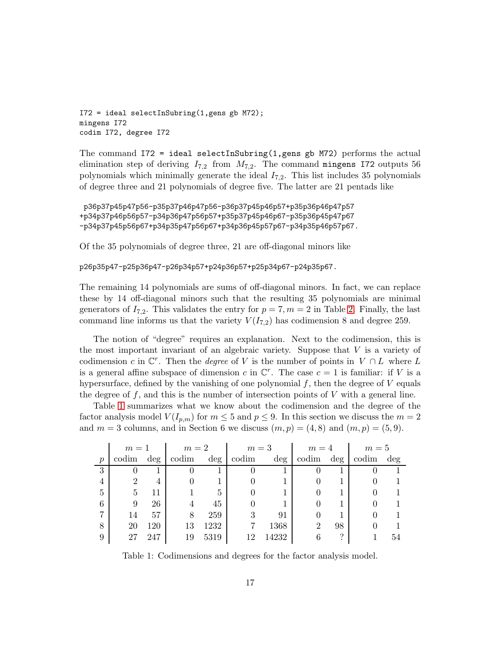I72 = ideal selectInSubring(1,gens gb M72); mingens I72 codim I72, degree I72

The command  $I72 = ideal selectInSubring(1,gens gb M72) performs the actual$ elimination step of deriving  $I_{7,2}$  from  $M_{7,2}$ . The command mingens I72 outputs 56 polynomials which minimally generate the ideal  $I_{7,2}$ . This list includes 35 polynomials of degree three and 21 polynomials of degree five. The latter are 21 pentads like

```
p36p37p45p47p56-p35p37p46p47p56-p36p37p45p46p57+p35p36p46p47p57
+p34p37p46p56p57-p34p36p47p56p57+p35p37p45p46p67-p35p36p45p47p67
-p34p37p45p56p67+p34p35p47p56p67+p34p36p45p57p67-p34p35p46p57p67.
```
Of the 35 polynomials of degree three, 21 are off-diagonal minors like

```
p26p35p47-p25p36p47-p26p34p57+p24p36p57+p25p34p67-p24p35p67.
```
The remaining 14 polynomials are sums of off-diagonal minors. In fact, we can replace these by 14 off-diagonal minors such that the resulting 35 polynomials are minimal generators of  $I_{7,2}$ . This validates the entry for  $p = 7, m = 2$  in Table [2.](#page-18-1) Finally, the last command line informs us that the variety  $V(I_{7,2})$  has codimension 8 and degree 259.

The notion of "degree" requires an explanation. Next to the codimension, this is the most important invariant of an algebraic variety. Suppose that  $V$  is a variety of codimension c in  $\mathbb{C}^r$ . Then the *degree* of V is the number of points in  $V \cap L$  where L is a general affine subspace of dimension c in  $\mathbb{C}^r$ . The case  $c = 1$  is familiar: if V is a hypersurface, defined by the vanishing of one polynomial  $f$ , then the degree of  $V$  equals the degree of  $f$ , and this is the number of intersection points of  $V$  with a general line.

Table [1](#page-16-0) summarizes what we know about the codimension and the degree of the factor analysis model  $V(I_{p,m})$  for  $m \leq 5$  and  $p \leq 9$ . In this section we discuss the  $m=2$ and  $m = 3$  columns, and in Section 6 we discuss  $(m, p) = (4, 8)$  and  $(m, p) = (5, 9)$ .

|                  | $m=1$ |        | $m=2$ |        | $m=3$ |        | $m=4$ |        | $m=5$ |        |
|------------------|-------|--------|-------|--------|-------|--------|-------|--------|-------|--------|
| $\boldsymbol{p}$ | codim | $\deg$ | codim | $\deg$ | codim | $\deg$ | codim | $\deg$ | codim | $\deg$ |
| 3                | U     |        |       |        |       |        |       |        |       |        |
| 4                | 2     | 4      |       |        |       |        |       |        |       |        |
| 5                | 5     | 11     |       | 5      |       |        |       |        |       |        |
| 6                | 9     | 26     | 4     | 45     |       |        |       |        |       |        |
|                  | 14    | 57     | 8     | 259    | 3     | 91     |       |        |       |        |
| 8                | 20    | 120    | 13    | 1232   |       | 1368   | 2     | 98     |       |        |
| 9                | 27    | 247    | 19    | 5319   | 19    | 14232  |       | ച      |       | 54     |

<span id="page-16-0"></span>Table 1: Codimensions and degrees for the factor analysis model.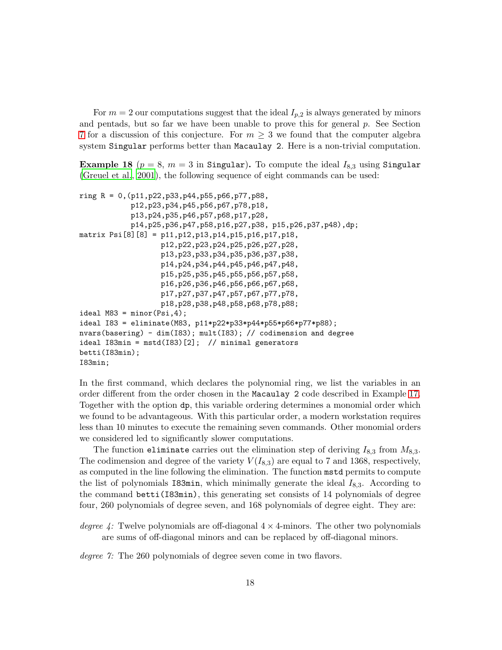For  $m = 2$  our computations suggest that the ideal  $I_{p,2}$  is always generated by minors and pentads, but so far we have been unable to prove this for general  $p$ . See Section [7](#page-23-0) for a discussion of this conjecture. For  $m \geq 3$  we found that the computer algebra system Singular performs better than Macaulay 2. Here is a non-trivial computation.

<span id="page-17-0"></span>**Example 18** ( $p = 8$ ,  $m = 3$  in Singular). To compute the ideal  $I_{8,3}$  using Singular [\(Greuel et al., 2001](#page-29-14)), the following sequence of eight commands can be used:

```
ring R = 0,(p11,p22,p33,p44,p55,p66,p77,p88,
            p12,p23,p34,p45,p56,p67,p78,p18,
            p13,p24,p35,p46,p57,p68,p17,p28,
            p14,p25,p36,p47,p58,p16,p27,p38, p15,p26,p37,p48),dp;
matrix Psi[8][8] = p11,p12,p13,p14,p15,p16,p17,p18,
                   p12,p22,p23,p24,p25,p26,p27,p28,
                   p13,p23,p33,p34,p35,p36,p37,p38,
                   p14,p24,p34,p44,p45,p46,p47,p48,
                   p15,p25,p35,p45,p55,p56,p57,p58,
                   p16,p26,p36,p46,p56,p66,p67,p68,
                   p17,p27,p37,p47,p57,p67,p77,p78,
                   p18,p28,p38,p48,p58,p68,p78,p88;
ideal M83 = minor(Psi, 4);
ideal I83 = eliminate(M83, p11*p22*p33*p44*p55*p66*p77*p88);
nvars(basering) - dim(I83); mult(I83); // codimension and degree
ideal I83min = mstd(I83) [2]; // minimal generators
betti(I83min);
I83min;
```
In the first command, which declares the polynomial ring, we list the variables in an order different from the order chosen in the Macaulay 2 code described in Example [17.](#page-15-1) Together with the option dp, this variable ordering determines a monomial order which we found to be advantageous. With this particular order, a modern workstation requires less than 10 minutes to execute the remaining seven commands. Other monomial orders we considered led to significantly slower computations.

The function eliminate carries out the elimination step of deriving  $I_{8,3}$  from  $M_{8,3}$ . The codimension and degree of the variety  $V(I_{8,3})$  are equal to 7 and 1368, respectively, as computed in the line following the elimination. The function mstd permits to compute the list of polynomials I83min, which minimally generate the ideal  $I_{8,3}$ . According to the command betti(I83min), this generating set consists of 14 polynomials of degree four, 260 polynomials of degree seven, and 168 polynomials of degree eight. They are:

```
degree 4: Twelve polynomials are off-diagonal 4 \times 4-minors. The other two polynomials
     are sums of off-diagonal minors and can be replaced by off-diagonal minors.
```
*degree 7:* The 260 polynomials of degree seven come in two flavors.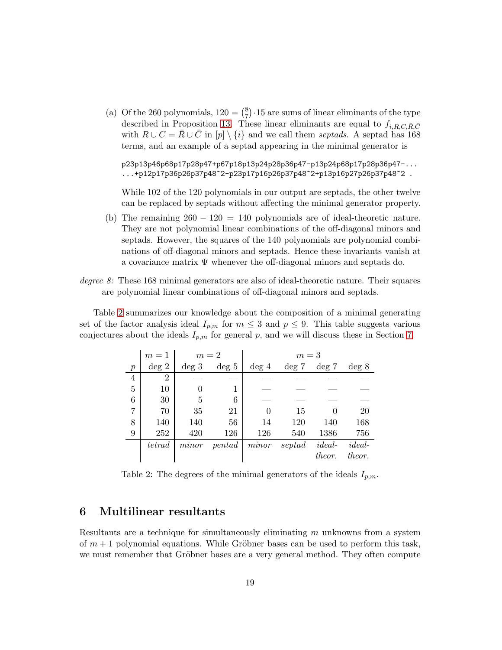(a) Of the 260 polynomials,  $120 = \binom{8}{7}$  $\binom{8}{7} \cdot 15$  are sums of linear eliminants of the type described in Proposition [13.](#page-13-0) These linear eliminants are equal to  $f_{i, R, C, \bar{R}, \bar{C}}$ with  $R \cup C = \overline{R} \cup \overline{C}$  in  $[p] \setminus \{i\}$  and we call them *septads*. A septad has 168 terms, and an example of a septad appearing in the minimal generator is

p23p13p46p68p17p28p47+p67p18p13p24p28p36p47-p13p24p68p17p28p36p47-...  $\ldots$ +p12p17p36p26p37p48^2-p23p17p16p26p37p48^2+p13p16p27p26p37p48^2.

While 102 of the 120 polynomials in our output are septads, the other twelve can be replaced by septads without affecting the minimal generator property.

- (b) The remaining  $260 120 = 140$  polynomials are of ideal-theoretic nature. They are not polynomial linear combinations of the off-diagonal minors and septads. However, the squares of the 140 polynomials are polynomial combinations of off-diagonal minors and septads. Hence these invariants vanish at a covariance matrix Ψ whenever the off-diagonal minors and septads do.
- *degree 8:* These 168 minimal generators are also of ideal-theoretic nature. Their squares are polynomial linear combinations of off-diagonal minors and septads.

Table [2](#page-18-1) summarizes our knowledge about the composition of a minimal generating set of the factor analysis ideal  $I_{p,m}$  for  $m \leq 3$  and  $p \leq 9$ . This table suggests various conjectures about the ideals  $I_{p,m}$  for general p, and we will discuss these in Section [7.](#page-23-0)

|                  | $m=1$          |          | $m=2$    | $m=3$    |          |          |          |  |
|------------------|----------------|----------|----------|----------|----------|----------|----------|--|
| $\boldsymbol{p}$ | $\deg 2$       | $\deg 3$ | $\deg 5$ | $\deg 4$ | $\deg 7$ | $\deg 7$ | deg 8    |  |
| $\overline{4}$   | $\overline{2}$ |          |          |          |          |          |          |  |
| 5                | 10             |          |          |          |          |          |          |  |
| 6                | 30             | 5        | 6        |          |          |          |          |  |
| 7                | 70             | 35       | 21       | $\Omega$ | 15       |          | 20       |  |
| 8                | 140            | 140      | 56       | 14       | 120      | 140      | 168      |  |
| 9                | 252            | 420      | 126      | 126      | 540      | 1386     | 756      |  |
|                  | tetrad         | minor    | pentad   | minor    | septad   | $ideal-$ | $ideal-$ |  |
|                  |                |          |          |          |          | theor.   | theor.   |  |

<span id="page-18-1"></span>Table 2: The degrees of the minimal generators of the ideals  $I_{p,m}$ .

# <span id="page-18-0"></span>6 Multilinear resultants

Resultants are a technique for simultaneously eliminating m unknowns from a system of  $m+1$  polynomial equations. While Gröbner bases can be used to perform this task, we must remember that Gröbner bases are a very general method. They often compute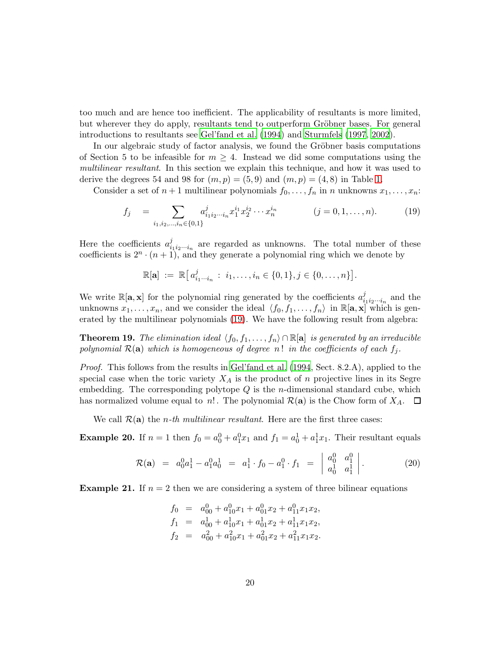too much and are hence too inefficient. The applicability of resultants is more limited, but wherever they do apply, resultants tend to outperform Gröbner bases. For general introductions to resultants see [Gel'fand et al. \(1994\)](#page-29-15) and [Sturmfels \(1997,](#page-30-8) [2002](#page-30-9)).

In our algebraic study of factor analysis, we found the Gröbner basis computations of Section 5 to be infeasible for  $m \geq 4$ . Instead we did some computations using the *multilinear resultant*. In this section we explain this technique, and how it was used to derive the degrees 54 and 98 for  $(m,p) = (5,9)$  and  $(m,p) = (4,8)$  in Table [1.](#page-16-0)

Consider a set of  $n+1$  multilinear polynomials  $f_0, \ldots, f_n$  in n unknowns  $x_1, \ldots, x_n$ :

<span id="page-19-0"></span>
$$
f_j = \sum_{i_1, i_2, \dots, i_n \in \{0, 1\}} a_{i_1 i_2 \dots i_n}^j x_1^{i_1} x_2^{i_2} \dots x_n^{i_n} \qquad (j = 0, 1, \dots, n). \qquad (19)
$$

Here the coefficients  $a_i^j$  $\sum_{i_1,i_2...i_n}^{j_1}$  are regarded as unknowns. The total number of these coefficients is  $2^n \cdot (n+1)$ , and they generate a polynomial ring which we denote by

$$
\mathbb{R}[\mathbf{a}] := \mathbb{R}[a_{i_1 \cdots i_n}^j : i_1, \ldots, i_n \in \{0, 1\}, j \in \{0, \ldots, n\}].
$$

We write  $\mathbb{R}[\mathbf{a}, \mathbf{x}]$  for the polynomial ring generated by the coefficients  $a_i^j$  $\sum_{i_1 i_2 \cdots i_n}^j$  and the unknowns  $x_1,\ldots,x_n$ , and we consider the ideal  $\langle f_0,f_1,\ldots,f_n\rangle$  in  $\mathbb{R}[\mathbf{a},\mathbf{x}]$  which is generated by the multilinear polynomials [\(19\)](#page-19-0). We have the following result from algebra:

**Theorem 19.** *The elimination ideal*  $\langle f_0, f_1, \ldots, f_n \rangle \cap \mathbb{R}[\mathbf{a}]$  *is generated by an irreducible polynomial*  $\mathcal{R}(\mathbf{a})$  *which is homogeneous of degree*  $n!$  *in the coefficients of each*  $f_i$ *.* 

*Proof.* This follows from the results in [Gel'fand et al. \(1994](#page-29-15), Sect. 8.2.A), applied to the special case when the toric variety  $X_A$  is the product of n projective lines in its Segre embedding. The corresponding polytope  $Q$  is the *n*-dimensional standard cube, which has normalized volume equal to n!. The polynomial  $\mathcal{R}(\mathbf{a})$  is the Chow form of  $X_A$ .  $\Box$ 

<span id="page-19-2"></span>We call  $\mathcal{R}(\mathbf{a})$  the *n*-th multilinear resultant. Here are the first three cases:

**Example 20.** If  $n = 1$  then  $f_0 = a_0^0 + a_1^0 x_1$  and  $f_1 = a_0^1 + a_1^1 x_1$ . Their resultant equals

<span id="page-19-1"></span>
$$
\mathcal{R}(\mathbf{a}) = a_0^0 a_1^1 - a_1^0 a_0^1 = a_1^1 \cdot f_0 - a_1^0 \cdot f_1 = \begin{vmatrix} a_0^0 & a_1^0 \\ a_0^1 & a_1^1 \end{vmatrix}.
$$
 (20)

<span id="page-19-3"></span>**Example 21.** If  $n = 2$  then we are considering a system of three bilinear equations

$$
f_0 = a_{00}^0 + a_{10}^0 x_1 + a_{01}^0 x_2 + a_{11}^0 x_1 x_2,
$$
  
\n
$$
f_1 = a_{00}^1 + a_{10}^1 x_1 + a_{01}^1 x_2 + a_{11}^1 x_1 x_2,
$$
  
\n
$$
f_2 = a_{00}^2 + a_{10}^2 x_1 + a_{01}^2 x_2 + a_{11}^2 x_1 x_2.
$$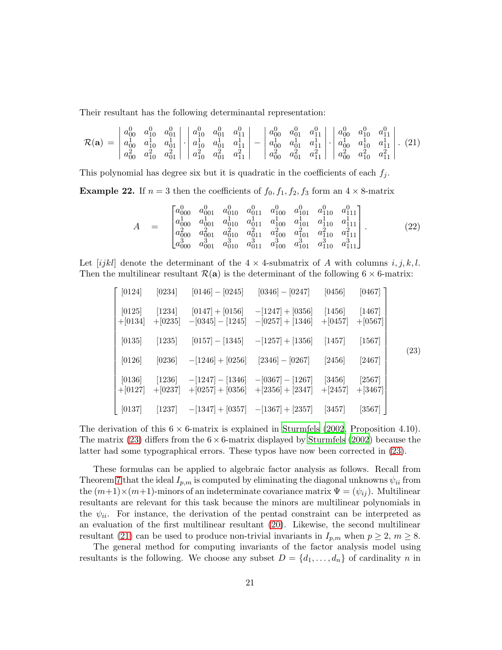Their resultant has the following determinantal representation:

 $\overline{a}$ 

<span id="page-20-1"></span>
$$
\mathcal{R}(\mathbf{a}) = \begin{vmatrix} a_{00}^0 & a_{10}^0 & a_{01}^0 \\ a_{00}^1 & a_{10}^1 & a_{01}^1 \\ a_{00}^2 & a_{10}^2 & a_{01}^2 \end{vmatrix} \cdot \begin{vmatrix} a_{10}^0 & a_{01}^0 & a_{11}^0 \\ a_{10}^1 & a_{01}^1 & a_{11}^1 \\ a_{10}^1 & a_{01}^1 & a_{11}^1 \end{vmatrix} - \begin{vmatrix} a_{00}^0 & a_{01}^0 & a_{01}^0 & a_{10}^0 & a_{10}^0 \\ a_{00}^1 & a_{01}^1 & a_{11}^1 \\ a_{00}^2 & a_{01}^2 & a_{11}^2 \end{vmatrix} \cdot \begin{vmatrix} a_{00}^0 & a_{10}^0 & a_{11}^0 \\ a_{00}^1 & a_{10}^1 & a_{11}^1 \\ a_{00}^2 & a_{01}^2 & a_{11}^2 \end{vmatrix} . \tag{21}
$$

<span id="page-20-2"></span>This polynomial has degree six but it is quadratic in the coefficients of each  $f_j$ .

**Example 22.** If  $n = 3$  then the coefficients of  $f_0, f_1, f_2, f_3$  form an  $4 \times 8$ -matrix

$$
A = \begin{bmatrix} a_{000}^{0} & a_{001}^{0} & a_{010}^{0} & a_{011}^{0} & a_{100}^{0} & a_{101}^{0} & a_{110}^{0} & a_{111}^{0} \\ a_{000}^{1} & a_{001}^{1} & a_{010}^{1} & a_{011}^{1} & a_{100}^{1} & a_{110}^{1} & a_{111}^{1} \\ a_{000}^{2} & a_{001}^{2} & a_{010}^{2} & a_{011}^{2} & a_{100}^{2} & a_{101}^{2} & a_{110}^{2} & a_{111}^{2} \\ a_{000}^{3} & a_{001}^{3} & a_{010}^{3} & a_{011}^{3} & a_{100}^{3} & a_{101}^{3} & a_{110}^{3} & a_{111}^{3} \end{bmatrix} . \tag{22}
$$

Let [ijkl] denote the determinant of the  $4 \times 4$ -submatrix of A with columns i, j, k, l. Then the multilinear resultant  $\mathcal{R}(\mathbf{a})$  is the determinant of the following  $6 \times 6$ -matrix:

<span id="page-20-0"></span>
$$
\begin{bmatrix}\n[0124] & [0234] & [0146] - [0245] & [0346] - [0247] & [0456] & [0467] \\
[0125] & [1234] & [0147] + [0156] & -[1247] + [0356] & [1456] & [1467] \\
+[0134] + [0235] & -[0345] - [1245] & -[0257] + [1346] & +[0457] & +[0567] \\
[0135] & [1235] & [0157] - [1345] & -[1257] + [1356] & [1457] & [1567] \\
[0126] & [0236] & -[1246] + [0256] & [2346] - [0267] & [2456] & [2467] \\
[0136] & [1236] & -[1247] - [1346] & -[0367] - [1267] & [3456] & [2567] \\
+[0127] +[0237] & +[0257] + [0356] & +[2356] + [2347] & +[2457] & +[3467] \\
[0137] & [1237] & -[1347] + [0357] & -[1367] + [2357] & [3457] & [3567]\n\end{bmatrix}
$$

The derivation of this  $6 \times 6$ -matrix is explained in [Sturmfels \(2002](#page-30-9), Proposition 4.10). The matrix [\(23\)](#page-20-0) differs from the  $6 \times 6$ -matrix displayed by [Sturmfels \(2002](#page-30-9)) because the latter had some typographical errors. These typos have now been corrected in [\(23\)](#page-20-0).

These formulas can be applied to algebraic factor analysis as follows. Recall from Theorem [7](#page-10-1) that the ideal  $I_{p,m}$  is computed by eliminating the diagonal unknowns  $\psi_{ii}$  from the  $(m+1)\times(m+1)$ -minors of an indeterminate covariance matrix  $\Psi = (\psi_{ij})$ . Multilinear resultants are relevant for this task because the minors are multilinear polynomials in the  $\psi_{ii}$ . For instance, the derivation of the pentad constraint can be interpreted as an evaluation of the first multilinear resultant [\(20\)](#page-19-1). Likewise, the second multilinear resultant [\(21\)](#page-20-1) can be used to produce non-trivial invariants in  $I_{p,m}$  when  $p \geq 2$ ,  $m \geq 8$ .

The general method for computing invariants of the factor analysis model using resultants is the following. We choose any subset  $D = \{d_1, \ldots, d_n\}$  of cardinality n in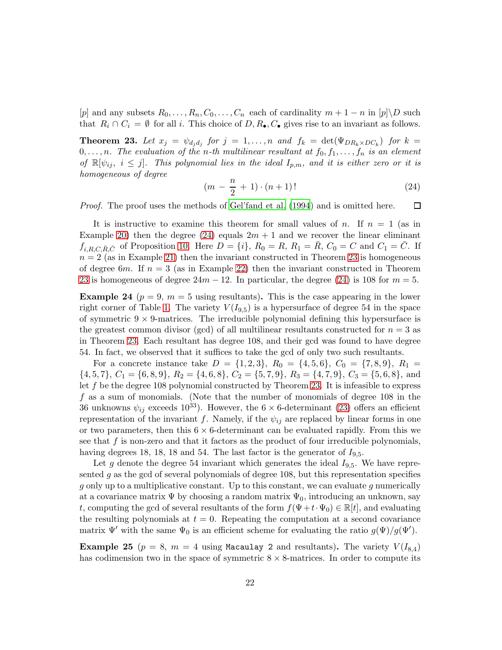<span id="page-21-1"></span>[p] and any subsets  $R_0, \ldots, R_n, C_0, \ldots, C_n$  each of cardinality  $m + 1 - n$  in  $[p] \backslash D$  such that  $R_i \cap C_i = \emptyset$  for all i. This choice of  $D, R_\bullet, C_\bullet$  gives rise to an invariant as follows.

**Theorem 23.** Let  $x_j = \psi_{d_j d_j}$  for  $j = 1, ..., n$  and  $f_k = \det(\Psi_{DR_k \times DC_k})$  for  $k =$  $0, \ldots, n$ . The evaluation of the *n*-th multilinear resultant at  $f_0, f_1, \ldots, f_n$  is an element *of*  $\mathbb{R}[\psi_i, i \leq j]$ . This polynomial lies in the ideal  $I_{p,m}$ , and it is either zero or it is *homogeneous of degree*

<span id="page-21-0"></span>
$$
(m - \frac{n}{2} + 1) \cdot (n + 1)!
$$
 (24)

*Proof.* The proof uses the methods of [Gel'fand et al. \(1994](#page-29-15)) and is omitted here.  $\Box$ 

It is instructive to examine this theorem for small values of n. If  $n = 1$  (as in Example [20\)](#page-19-2) then the degree [\(24\)](#page-21-0) equals  $2m + 1$  and we recover the linear eliminant  $f_{i,R,C,\bar{R},\bar{C}}$  of Proposition [10.](#page-12-0) Here  $D = \{i\}, R_0 = R, R_1 = \bar{R}, C_0 = C$  and  $C_1 = \bar{C}$ . If  $n = 2$  (as in Example [21\)](#page-19-3) then the invariant constructed in Theorem [23](#page-21-1) is homogeneous of degree 6m. If  $n = 3$  (as in Example [22\)](#page-20-2) then the invariant constructed in Theorem [23](#page-21-1) is homogeneous of degree  $24m - 12$ . In particular, the degree [\(24\)](#page-21-0) is 108 for  $m = 5$ .

<span id="page-21-2"></span>**Example 24** ( $p = 9$ ,  $m = 5$  using resultants). This is the case appearing in the lower right corner of Table [1.](#page-16-0) The variety  $V(I_{9,5})$  is a hypersurface of degree 54 in the space of symmetric  $9 \times 9$ -matrices. The irreducible polynomial defining this hypersurface is the greatest common divisor (gcd) of all multilinear resultants constructed for  $n = 3$  as in Theorem [23.](#page-21-1) Each resultant has degree 108, and their gcd was found to have degree 54. In fact, we observed that it suffices to take the gcd of only two such resultants.

For a concrete instance take  $D = \{1, 2, 3\}$ ,  $R_0 = \{4, 5, 6\}$ ,  $C_0 = \{7, 8, 9\}$ ,  $R_1 =$  $\{4, 5, 7\}, C_1 = \{6, 8, 9\}, R_2 = \{4, 6, 8\}, C_2 = \{5, 7, 9\}, R_3 = \{4, 7, 9\}, C_3 = \{5, 6, 8\}, \text{ and }$ let  $f$  be the degree 108 polynomial constructed by Theorem [23.](#page-21-1) It is infeasible to express f as a sum of monomials. (Note that the number of monomials of degree 108 in the 36 unknowns  $\psi_{ij}$  exceeds 10<sup>33</sup>). However, the 6  $\times$  6-determinant [\(23\)](#page-20-0) offers an efficient representation of the invariant f. Namely, if the  $\psi_{ij}$  are replaced by linear forms in one or two parameters, then this  $6 \times 6$ -determinant can be evaluated rapidly. From this we see that  $f$  is non-zero and that it factors as the product of four irreducible polynomials, having degrees 18, 18, 18 and 54. The last factor is the generator of  $I_{9,5}$ .

Let g denote the degree 54 invariant which generates the ideal  $I_{9,5}$ . We have represented  $g$  as the gcd of several polynomials of degree 108, but this representation specifies g only up to a multiplicative constant. Up to this constant, we can evaluate g numerically at a covariance matrix  $\Psi$  by choosing a random matrix  $\Psi_0$ , introducing an unknown, say t, computing the gcd of several resultants of the form  $f(\Psi+t\cdot\Psi_0) \in \mathbb{R}[t]$ , and evaluating the resulting polynomials at  $t = 0$ . Repeating the computation at a second covariance matrix  $\Psi'$  with the same  $\Psi_0$  is an efficient scheme for evaluating the ratio  $g(\Psi)/g(\Psi')$ .

**Example 25** ( $p = 8$ ,  $m = 4$  using Macaulay 2 and resultants). The variety  $V(I_{8,4})$ has codimension two in the space of symmetric  $8 \times 8$ -matrices. In order to compute its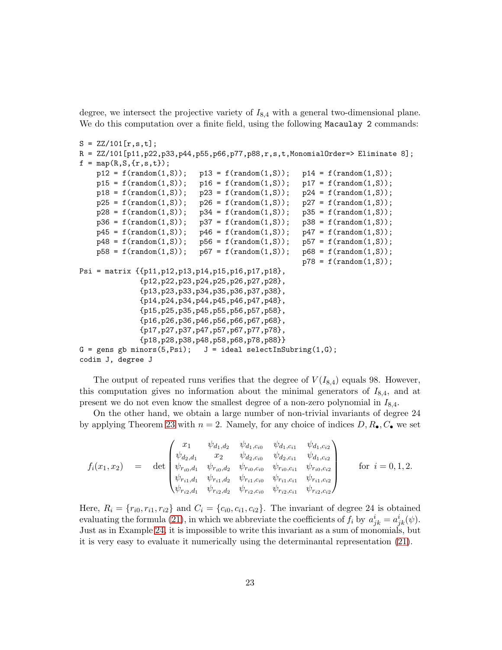degree, we intersect the projective variety of  $I_{8,4}$  with a general two-dimensional plane. We do this computation over a finite field, using the following Macaulay 2 commands:

```
S = ZZ/101[r,s,t];R = ZZ/101[p11,p22,p33,p44,p55,p66,p77,p88,r,s,t,MonomialOrder=> Eliminate 8];
f = map(R, S, {r, s, t});
    p12 = f(random(1, S)); p13 = f(random(1, S)); p14 = f(random(1, S));
   p15 = f(random(1, S)); p16 = f(random(1, S)); p17 = f(random(1, S));
   p18 = f(random(1, S)); p23 = f(random(1, S)); p24 = f(random(1, S));
   p25 = f(random(1, S)); p26 = f(random(1, S)); p27 = f(random(1, S));p28 = f(random(1, S)); p34 = f(random(1, S)); p35 = f(random(1, S));p36 = f(random(1, S)); p37 = f(random(1, S)); p38 = f(random(1, S));p45 = f(random(1, S)); p46 = f(random(1, S)); p47 = f(random(1, S));
    p48 = f(random(1, S)); p56 = f(random(1, S)); p57 = f(random(1, S));
    p58 = f(random(1, S)); \quad p67 = f(random(1, S)); \quad p68 = f(random(1, S));p78 = f(random(1, S));
Psi = matrix {{p11,p12,p13,p14,p15,p16,p17,p18},
              {p12,p22,p23,p24,p25,p26,p27,p28},
              {p13,p23,p33,p34,p35,p36,p37,p38},
              {p14,p24,p34,p44,p45,p46,p47,p48},
              {p15,p25,p35,p45,p55,p56,p57,p58},
              {p16,p26,p36,p46,p56,p66,p67,p68},
              {p17,p27,p37,p47,p57,p67,p77,p78},
              {p18,p28,p38,p48,p58,p68,p78,p88}}
G = gens gb minors(5, Psi);  J = ideal selectInSubring(1, G);
codim J, degree J
```
The output of repeated runs verifies that the degree of  $V(I_{8,4})$  equals 98. However, this computation gives no information about the minimal generators of  $I_{8,4}$ , and at present we do not even know the smallest degree of a non-zero polynomial in  $I_{8,4}$ .

On the other hand, we obtain a large number of non-trivial invariants of degree 24 by applying Theorem [23](#page-21-1) with  $n = 2$ . Namely, for any choice of indices  $D, R_{\bullet}, C_{\bullet}$  we set

$$
f_i(x_1, x_2) = \det \begin{pmatrix} x_1 & \psi_{d_1, d_2} & \psi_{d_1, c_{i0}} & \psi_{d_1, c_{i1}} & \psi_{d_1, c_{i2}} \\ \psi_{d_2, d_1} & x_2 & \psi_{d_2, c_{i0}} & \psi_{d_2, c_{i1}} & \psi_{d_1, c_{i2}} \\ \psi_{r_{i0}, d_1} & \psi_{r_{i0}, d_2} & \psi_{r_{i0}, c_{i0}} & \psi_{r_{i0}, c_{i1}} & \psi_{r_{i0}, c_{i2}} \\ \psi_{r_{i1}, d_1} & \psi_{r_{i1}, d_2} & \psi_{r_{i1}, c_{i0}} & \psi_{r_{i1}, c_{i1}} & \psi_{r_{i1}, c_{i2}} \\ \psi_{r_{i2}, d_1} & \psi_{r_{i2}, d_2} & \psi_{r_{i2}, c_{i0}} & \psi_{r_{i2}, c_{i1}} & \psi_{r_{i2}, c_{i2}} \end{pmatrix} \text{ for } i = 0, 1, 2.
$$

Here,  $R_i = \{r_{i0}, r_{i1}, r_{i2}\}$  and  $C_i = \{c_{i0}, c_{i1}, c_{i2}\}$ . The invariant of degree 24 is obtained evaluating the formula [\(21\)](#page-20-1), in which we abbreviate the coefficients of  $f_i$  by  $a^i_{jk} = a^i_{jk}(\psi)$ . Just as in Example [24,](#page-21-2) it is impossible to write this invariant as a sum of monomials, but it is very easy to evaluate it numerically using the determinantal representation [\(21\)](#page-20-1).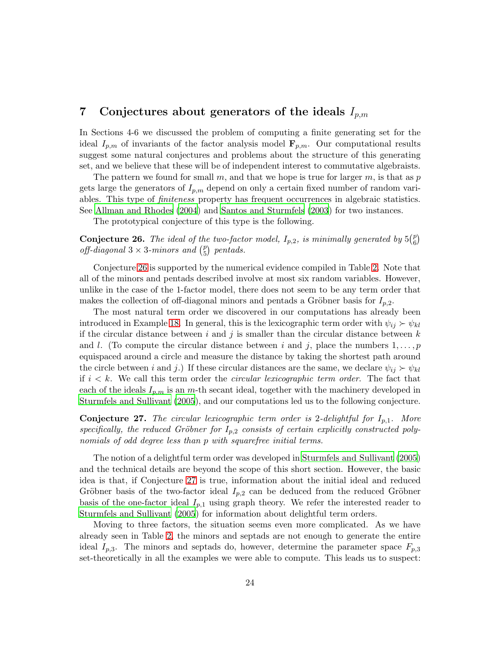# <span id="page-23-0"></span>7 Conjectures about generators of the ideals  $I_{p,m}$

In Sections 4-6 we discussed the problem of computing a finite generating set for the ideal  $I_{p,m}$  of invariants of the factor analysis model  $\mathbf{F}_{p,m}$ . Our computational results suggest some natural conjectures and problems about the structure of this generating set, and we believe that these will be of independent interest to commutative algebraists.

The pattern we found for small m, and that we hope is true for larger m, is that as  $p$ gets large the generators of  $I_{p,m}$  depend on only a certain fixed number of random variables. This type of *finiteness* property has frequent occurrences in algebraic statistics. See [Allman and Rhodes \(2004\)](#page-28-8) and [Santos and Sturmfels \(2003](#page-30-10)) for two instances.

<span id="page-23-1"></span>The prototypical conjecture of this type is the following.

**Conjecture 26.** The ideal of the two-factor model,  $I_{p,2}$ , is minimally generated by  $5\binom{p}{6}$  $\binom{p}{6}$ *off-diagonal*  $3 \times 3$ -minors and  $\binom{p}{5}$ 5 *pentads.*

Conjecture [26](#page-23-1) is supported by the numerical evidence compiled in Table [2.](#page-18-1) Note that all of the minors and pentads described involve at most six random variables. However, unlike in the case of the 1-factor model, there does not seem to be any term order that makes the collection of off-diagonal minors and pentads a Gröbner basis for  $I_{p,2}$ .

The most natural term order we discovered in our computations has already been introduced in Example [18.](#page-17-0) In general, this is the lexicographic term order with  $\psi_{ij} \succ \psi_{kl}$ if the circular distance between i and j is smaller than the circular distance between  $k$ and l. (To compute the circular distance between i and j, place the numbers  $1,\ldots,p$ equispaced around a circle and measure the distance by taking the shortest path around the circle between i and j.) If these circular distances are the same, we declare  $\psi_{ij} \succ \psi_{kl}$ if i < k. We call this term order the *circular lexicographic term order*. The fact that each of the ideals  $I_{p,m}$  is an m-th secant ideal, together with the machinery developed in [Sturmfels and Sullivant \(2005](#page-30-7)), and our computations led us to the following conjecture.

<span id="page-23-2"></span>**Conjecture 27.** The circular lexicographic term order is 2-delightful for  $I_{p,1}$ . More specifically, the reduced Gröbner for  $I_{p,2}$  consists of certain explicitly constructed poly*nomials of odd degree less than* p *with squarefree initial terms.*

The notion of a delightful term order was developed in [Sturmfels and Sullivant \(2005](#page-30-7)) and the technical details are beyond the scope of this short section. However, the basic idea is that, if Conjecture [27](#page-23-2) is true, information about the initial ideal and reduced Gröbner basis of the two-factor ideal  $I_{p,2}$  can be deduced from the reduced Gröbner basis of the one-factor ideal  $I_{p,1}$  using graph theory. We refer the interested reader to [Sturmfels and Sullivant \(2005](#page-30-7)) for information about delightful term orders.

Moving to three factors, the situation seems even more complicated. As we have already seen in Table [2,](#page-18-1) the minors and septads are not enough to generate the entire ideal  $I_{p,3}$ . The minors and septads do, however, determine the parameter space  $F_{p,3}$ set-theoretically in all the examples we were able to compute. This leads us to suspect: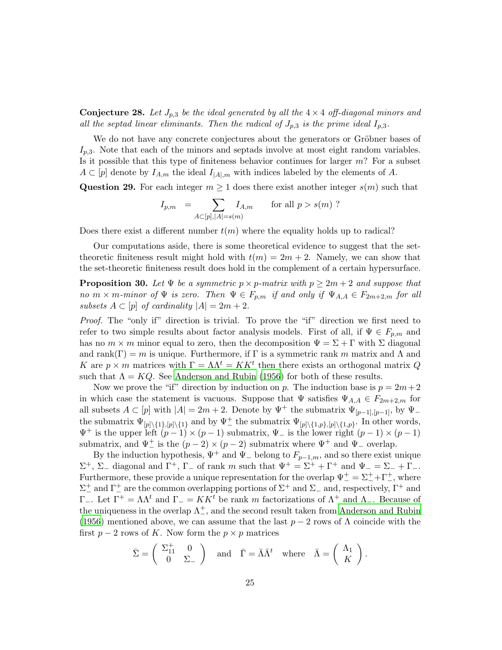**Conjecture 28.** Let  $J_{p,3}$  be the ideal generated by all the  $4 \times 4$  off-diagonal minors and *all the septad linear eliminants. Then the radical of*  $J_{p,3}$  *is the prime ideal*  $I_{p,3}$ *.* 

We do not have any concrete conjectures about the generators or Gröbner bases of  $I_{p,3}$ . Note that each of the minors and septads involve at most eight random variables. Is it possible that this type of finiteness behavior continues for larger  $m$ ? For a subset  $A \subset [p]$  denote by  $I_{A,m}$  the ideal  $I_{|A|,m}$  with indices labeled by the elements of A.

<span id="page-24-1"></span>Question 29. For each integer  $m \geq 1$  does there exist another integer  $s(m)$  such that

$$
I_{p,m} = \sum_{A \subset [p], |A| = s(m)} I_{A,m} \quad \text{for all } p > s(m)
$$
?

Does there exist a different number  $t(m)$  where the equality holds up to radical?

Our computations aside, there is some theoretical evidence to suggest that the settheoretic finiteness result might hold with  $t(m) = 2m + 2$ . Namely, we can show that the set-theoretic finiteness result does hold in the complement of a certain hypersurface.

<span id="page-24-0"></span>**Proposition 30.** Let  $\Psi$  be a symmetric  $p \times p$ -matrix with  $p \geq 2m + 2$  and suppose that *no*  $m \times m$ *-minor of*  $\Psi$  *is zero. Then*  $\Psi \in F_{p,m}$  *if and only if*  $\Psi_{A,A} \in F_{2m+2,m}$  *for all subsets*  $A \subset [p]$  *of cardinality*  $|A| = 2m + 2$ *.* 

*Proof.* The "only if" direction is trivial. To prove the "if" direction we first need to refer to two simple results about factor analysis models. First of all, if  $\Psi \in F_{p,m}$  and has no  $m \times m$  minor equal to zero, then the decomposition  $\Psi = \Sigma + \Gamma$  with  $\Sigma$  diagonal and rank(Γ) = m is unique. Furthermore, if Γ is a symmetric rank m matrix and  $\Lambda$  and K are  $p \times m$  matrices with  $\Gamma = \Lambda \Lambda^t = K K^t$  then there exists an orthogonal matrix Q such that  $\Lambda = KQ$ . See [Anderson and Rubin \(1956](#page-28-4)) for both of these results.

Now we prove the "if" direction by induction on p. The induction base is  $p = 2m + 2$ in which case the statement is vacuous. Suppose that  $\Psi$  satisfies  $\Psi_{A,A} \in F_{2m+2,m}$  for all subsets  $A \subset [p]$  with  $|A| = 2m + 2$ . Denote by  $\Psi^+$  the submatrix  $\Psi_{[p-1],[p-1]}$ , by  $\Psi^$ the submatrix  $\Psi_{[p] \setminus \{1\}, [p] \setminus \{1\}}$  and by  $\Psi_{-}^{\perp}$  the submatrix  $\Psi_{[p] \setminus \{1,p\}, [p] \setminus \{1,p\}}$ . In other words,  $\Psi^+$  is the upper left  $(p-1) \times (p-1)$  submatrix,  $\Psi^-$  is the lower right  $(p-1) \times (p-1)$ submatrix, and  $\Psi^+$  is the  $(p-2) \times (p-2)$  submatrix where  $\Psi^+$  and  $\Psi^-$  overlap.

By the induction hypothesis,  $\Psi^+$  and  $\Psi^-$  belong to  $F_{p-1,m}$ , and so there exist unique  $\Sigma^+$ ,  $\Sigma_-$  diagonal and  $\Gamma^+$ ,  $\Gamma_-$  of rank m such that  $\Psi^+ = \Sigma^+ + \Gamma^+$  and  $\Psi^- = \Sigma^- + \Gamma^-$ . Furthermore, these provide a unique representation for the overlap  $\Psi_{-}^{+} = \Sigma_{-}^{+} + \Gamma_{-}^{+}$ , where  $\Sigma^+$  and  $\Gamma^+$  are the common overlapping portions of  $\Sigma^+$  and  $\Sigma^-$  and, respectively,  $\Gamma^+$  and  $Γ_$ . Let  $Γ^+ = ΛΛ^t$  and  $Γ_ = K K^t$  be rank m factorizations of  $Λ^+$  and  $Λ_$ . Because of the uniqueness in the overlap  $\Lambda^{\pm}_{-}$ , and the second result taken from [Anderson and Rubin](#page-28-4) [\(1956](#page-28-4)) mentioned above, we can assume that the last  $p-2$  rows of  $\Lambda$  coincide with the first  $p-2$  rows of K. Now form the  $p \times p$  matrices

$$
\bar{\Sigma} = \begin{pmatrix} \Sigma_{11}^+ & 0 \\ 0 & \Sigma_- \end{pmatrix} \text{ and } \bar{\Gamma} = \bar{\Lambda} \bar{\Lambda}^t \text{ where } \bar{\Lambda} = \begin{pmatrix} \Lambda_1 \\ K \end{pmatrix}.
$$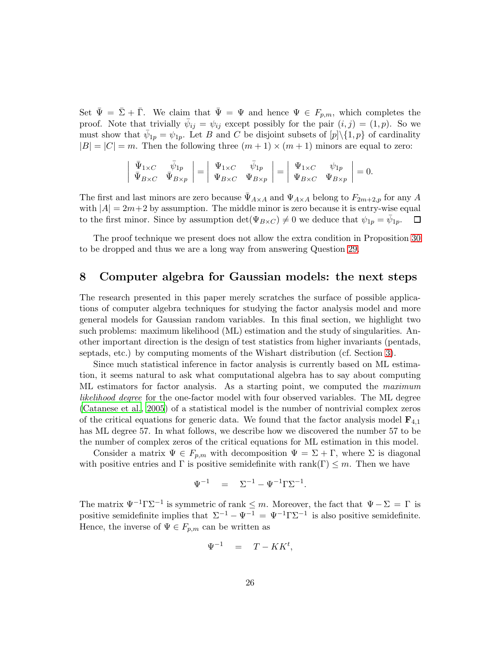Set  $\bar{\Psi} = \bar{\Sigma} + \bar{\Gamma}$ . We claim that  $\bar{\Psi} = \Psi$  and hence  $\Psi \in F_{p,m}$ , which completes the proof. Note that trivially  $\bar{\psi}_{ij} = \psi_{ij}$  except possibly for the pair  $(i, j) = (1, p)$ . So we must show that  $\bar{\psi}_{1p} = \psi_{1p}$ . Let B and C be disjoint subsets of  $[p]\setminus\{1,p\}$  of cardinality  $|B| = |C| = m$ . Then the following three  $(m + 1) \times (m + 1)$  minors are equal to zero:

$$
\left| \begin{array}{cc} \bar{\Psi}_{1\times C} & \bar{\psi}_{1p} \\ \bar{\Psi}_{B\times C} & \bar{\Psi}_{B\times p} \end{array} \right| = \left| \begin{array}{cc} \Psi_{1\times C} & \bar{\psi}_{1p} \\ \Psi_{B\times C} & \Psi_{B\times p} \end{array} \right| = \left| \begin{array}{cc} \Psi_{1\times C} & \psi_{1p} \\ \Psi_{B\times C} & \Psi_{B\times p} \end{array} \right| = 0.
$$

The first and last minors are zero because  $\Psi_{A\times A}$  and  $\Psi_{A\times A}$  belong to  $F_{2m+2,p}$  for any A with  $|A| = 2m+2$  by assumption. The middle minor is zero because it is entry-wise equal to the first minor. Since by assumption  $\det(\Psi_{B \times C}) \neq 0$  we deduce that  $\psi_{1n} = \bar{\psi}_{1n}$ .  $\square$ to the first minor. Since by assumption  $\det(\Psi_{B\times C}) \neq 0$  we deduce that  $\psi_{1p} = \bar{\psi}_{1p}$ .

The proof technique we present does not allow the extra condition in Proposition [30](#page-24-0) to be dropped and thus we are a long way from answering Question [29.](#page-24-1)

### <span id="page-25-0"></span>8 Computer algebra for Gaussian models: the next steps

The research presented in this paper merely scratches the surface of possible applications of computer algebra techniques for studying the factor analysis model and more general models for Gaussian random variables. In this final section, we highlight two such problems: maximum likelihood (ML) estimation and the study of singularities. Another important direction is the design of test statistics from higher invariants (pentads, septads, etc.) by computing moments of the Wishart distribution (cf. Section [3\)](#page-7-0).

Since much statistical inference in factor analysis is currently based on ML estimation, it seems natural to ask what computational algebra has to say about computing ML estimators for factor analysis. As a starting point, we computed the *maximum likelihood degree* for the one-factor model with four observed variables. The ML degree [\(Catanese et al.](#page-28-9), [2005\)](#page-28-9) of a statistical model is the number of nontrivial complex zeros of the critical equations for generic data. We found that the factor analysis model  $\mathbf{F}_{4,1}$ has ML degree 57. In what follows, we describe how we discovered the number 57 to be the number of complex zeros of the critical equations for ML estimation in this model.

Consider a matrix  $\Psi \in F_{p,m}$  with decomposition  $\Psi = \Sigma + \Gamma$ , where  $\Sigma$  is diagonal with positive entries and  $\Gamma$  is positive semidefinite with rank( $\Gamma$ )  $\leq m$ . Then we have

$$
\Psi^{-1} = \Sigma^{-1} - \Psi^{-1} \Gamma \Sigma^{-1}.
$$

The matrix  $\Psi^{-1}\Gamma\Sigma^{-1}$  is symmetric of rank  $\leq m$ . Moreover, the fact that  $\Psi - \Sigma = \Gamma$  is positive semidefinite implies that  $\Sigma^{-1} - \Psi^{-1} = \Psi^{-1} \Gamma \Sigma^{-1}$  is also positive semidefinite. Hence, the inverse of  $\Psi \in F_{p,m}$  can be written as

$$
\Psi^{-1} = T - KK^t,
$$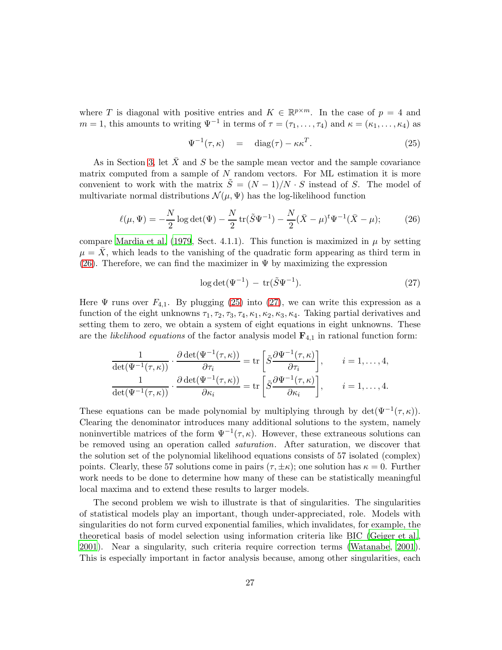where T is diagonal with positive entries and  $K \in \mathbb{R}^{p \times m}$ . In the case of  $p = 4$  and  $m = 1$ , this amounts to writing  $\Psi^{-1}$  in terms of  $\tau = (\tau_1, \ldots, \tau_4)$  and  $\kappa = (\kappa_1, \ldots, \kappa_4)$  as

<span id="page-26-1"></span>
$$
\Psi^{-1}(\tau,\kappa) = \text{diag}(\tau) - \kappa \kappa^T. \tag{25}
$$

As in Section [3,](#page-7-0) let  $\bar{X}$  and S be the sample mean vector and the sample covariance matrix computed from a sample of  $N$  random vectors. For ML estimation it is more convenient to work with the matrix  $\tilde{S} = (N-1)/N \cdot S$  instead of S. The model of multivariate normal distributions  $\mathcal{N}(\mu, \Psi)$  has the log-likelihood function

<span id="page-26-0"></span>
$$
\ell(\mu, \Psi) = -\frac{N}{2} \log \det(\Psi) - \frac{N}{2} \operatorname{tr}(\tilde{S}\Psi^{-1}) - \frac{N}{2} (\bar{X} - \mu)^t \Psi^{-1} (\bar{X} - \mu); \tag{26}
$$

compare [Mardia et al. \(1979,](#page-29-8) Sect. 4.1.1). This function is maximized in  $\mu$  by setting  $\mu = X$ , which leads to the vanishing of the quadratic form appearing as third term in [\(26\)](#page-26-0). Therefore, we can find the maximizer in  $\Psi$  by maximizing the expression

<span id="page-26-2"></span>
$$
\log \det(\Psi^{-1}) - \operatorname{tr}(\tilde{S}\Psi^{-1}).\tag{27}
$$

Here  $\Psi$  runs over  $F_{4,1}$ . By plugging [\(25\)](#page-26-1) into [\(27\)](#page-26-2), we can write this expression as a function of the eight unknowns  $\tau_1, \tau_2, \tau_3, \tau_4, \kappa_1, \kappa_2, \kappa_3, \kappa_4$ . Taking partial derivatives and setting them to zero, we obtain a system of eight equations in eight unknowns. These are the *likelihood equations* of the factor analysis model  $\mathbf{F}_{4,1}$  in rational function form:

$$
\frac{1}{\det(\Psi^{-1}(\tau,\kappa))} \cdot \frac{\partial \det(\Psi^{-1}(\tau,\kappa))}{\partial \tau_i} = \text{tr}\left[\tilde{S}\frac{\partial \Psi^{-1}(\tau,\kappa)}{\partial \tau_i}\right], \qquad i = 1,\ldots,4,
$$

$$
\frac{1}{\det(\Psi^{-1}(\tau,\kappa))} \cdot \frac{\partial \det(\Psi^{-1}(\tau,\kappa))}{\partial \kappa_i} = \text{tr}\left[\tilde{S}\frac{\partial \Psi^{-1}(\tau,\kappa)}{\partial \kappa_i}\right], \qquad i = 1,\ldots,4.
$$

These equations can be made polynomial by multiplying through by  $\det(\Psi^{-1}(\tau,\kappa)).$ Clearing the denominator introduces many additional solutions to the system, namely noninvertible matrices of the form  $\Psi^{-1}(\tau,\kappa)$ . However, these extraneous solutions can be removed using an operation called *saturation*. After saturation, we discover that the solution set of the polynomial likelihood equations consists of 57 isolated (complex) points. Clearly, these 57 solutions come in pairs  $(\tau, \pm \kappa)$ ; one solution has  $\kappa = 0$ . Further work needs to be done to determine how many of these can be statistically meaningful local maxima and to extend these results to larger models.

The second problem we wish to illustrate is that of singularities. The singularities of statistical models play an important, though under-appreciated, role. Models with singularities do not form curved exponential families, which invalidates, for example, the theoretical basis of model selection using information criteria like BIC [\(Geiger et al.](#page-28-2), [2001\)](#page-28-2). Near a singularity, such criteria require correction terms [\(Watanabe](#page-30-11), [2001](#page-30-11)). This is especially important in factor analysis because, among other singularities, each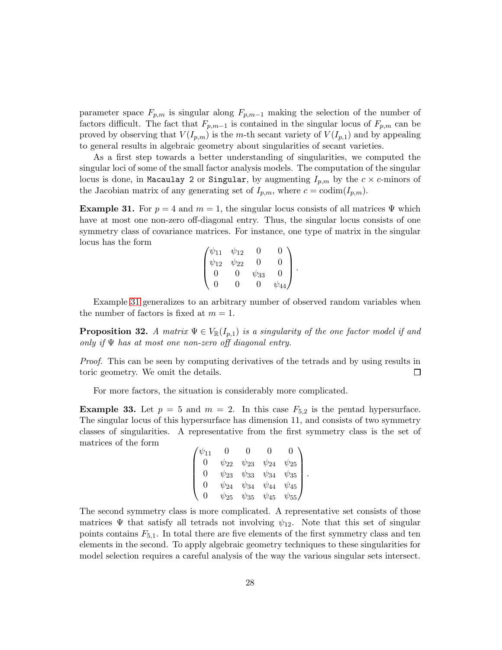parameter space  $F_{p,m}$  is singular along  $F_{p,m-1}$  making the selection of the number of factors difficult. The fact that  $F_{p,m-1}$  is contained in the singular locus of  $F_{p,m}$  can be proved by observing that  $V(I_{p,m})$  is the m-th secant variety of  $V(I_{p,1})$  and by appealing to general results in algebraic geometry about singularities of secant varieties.

As a first step towards a better understanding of singularities, we computed the singular loci of some of the small factor analysis models. The computation of the singular locus is done, in Macaulay 2 or Singular, by augmenting  $I_{p,m}$  by the  $c \times c$ -minors of the Jacobian matrix of any generating set of  $I_{p,m}$ , where  $c = \text{codim}(I_{p,m})$ .

<span id="page-27-0"></span>**Example 31.** For  $p = 4$  and  $m = 1$ , the singular locus consists of all matrices  $\Psi$  which have at most one non-zero off-diagonal entry. Thus, the singular locus consists of one symmetry class of covariance matrices. For instance, one type of matrix in the singular locus has the form

$$
\begin{pmatrix} \psi_{11} & \psi_{12} & 0 & 0 \\ \psi_{12} & \psi_{22} & 0 & 0 \\ 0 & 0 & \psi_{33} & 0 \\ 0 & 0 & 0 & \psi_{44} \end{pmatrix}.
$$

Example [31](#page-27-0) generalizes to an arbitrary number of observed random variables when the number of factors is fixed at  $m = 1$ .

**Proposition 32.** *A matrix*  $\Psi \in V_{\mathbb{R}}(I_{p,1})$  *is a singularity of the one factor model if and only if* Ψ *has at most one non-zero off diagonal entry.*

*Proof.* This can be seen by computing derivatives of the tetrads and by using results in toric geometry. We omit the details.  $\Box$ 

For more factors, the situation is considerably more complicated.

**Example 33.** Let  $p = 5$  and  $m = 2$ . In this case  $F_{5,2}$  is the pentad hypersurface. The singular locus of this hypersurface has dimension 11, and consists of two symmetry classes of singularities. A representative from the first symmetry class is the set of matrices of the form

$$
\begin{pmatrix} \psi_{11} & 0 & 0 & 0 & 0 \\ 0 & \psi_{22} & \psi_{23} & \psi_{24} & \psi_{25} \\ 0 & \psi_{23} & \psi_{33} & \psi_{34} & \psi_{35} \\ 0 & \psi_{24} & \psi_{34} & \psi_{44} & \psi_{45} \\ 0 & \psi_{25} & \psi_{35} & \psi_{45} & \psi_{55} \end{pmatrix}.
$$

The second symmetry class is more complicated. A representative set consists of those matrices  $\Psi$  that satisfy all tetrads not involving  $\psi_{12}$ . Note that this set of singular points contains  $F_{5,1}$ . In total there are five elements of the first symmetry class and ten elements in the second. To apply algebraic geometry techniques to these singularities for model selection requires a careful analysis of the way the various singular sets intersect.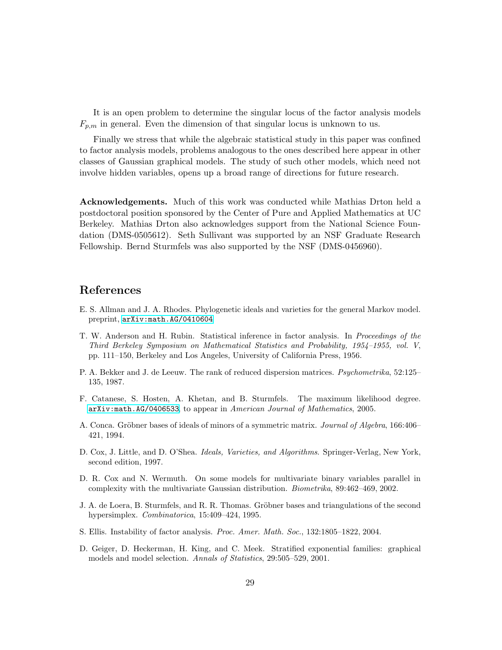It is an open problem to determine the singular locus of the factor analysis models  $F_{p,m}$  in general. Even the dimension of that singular locus is unknown to us.

Finally we stress that while the algebraic statistical study in this paper was confined to factor analysis models, problems analogous to the ones described here appear in other classes of Gaussian graphical models. The study of such other models, which need not involve hidden variables, opens up a broad range of directions for future research.

Acknowledgements. Much of this work was conducted while Mathias Drton held a postdoctoral position sponsored by the Center of Pure and Applied Mathematics at UC Berkeley. Mathias Drton also acknowledges support from the National Science Foundation (DMS-0505612). Seth Sullivant was supported by an NSF Graduate Research Fellowship. Bernd Sturmfels was also supported by the NSF (DMS-0456960).

# References

- <span id="page-28-8"></span>E. S. Allman and J. A. Rhodes. Phylogenetic ideals and varieties for the general Markov model. preprint, [arXiv:math.AG/0410604](http://arXiv.org/abs/math/0410604).
- <span id="page-28-4"></span>T. W. Anderson and H. Rubin. Statistical inference in factor analysis. In *Proceedings of the Third Berkeley Symposium on Mathematical Statistics and Probability, 1954–1955, vol. V*, pp. 111–150, Berkeley and Los Angeles, University of California Press, 1956.
- <span id="page-28-0"></span>P. A. Bekker and J. de Leeuw. The rank of reduced dispersion matrices. *Psychometrika*, 52:125– 135, 1987.
- <span id="page-28-9"></span>F. Catanese, S. Hosten, A. Khetan, and B. Sturmfels. The maximum likelihood degree. [arXiv:math.AG/0406533](http://arXiv.org/abs/math/0406533), to appear in *American Journal of Mathematics*, 2005.
- <span id="page-28-6"></span>A. Conca. Gröbner bases of ideals of minors of a symmetric matrix. *Journal of Algebra*, 166:406– 421, 1994.
- <span id="page-28-5"></span>D. Cox, J. Little, and D. O'Shea. *Ideals, Varieties, and Algorithms*. Springer-Verlag, New York, second edition, 1997.
- <span id="page-28-1"></span>D. R. Cox and N. Wermuth. On some models for multivariate binary variables parallel in complexity with the multivariate Gaussian distribution. *Biometrika*, 89:462–469, 2002.
- <span id="page-28-7"></span>J. A. de Loera, B. Sturmfels, and R. R. Thomas. Gröbner bases and triangulations of the second hypersimplex. *Combinatorica*, 15:409–424, 1995.
- <span id="page-28-3"></span>S. Ellis. Instability of factor analysis. *Proc. Amer. Math. Soc.*, 132:1805–1822, 2004.
- <span id="page-28-2"></span>D. Geiger, D. Heckerman, H. King, and C. Meek. Stratified exponential families: graphical models and model selection. *Annals of Statistics*, 29:505–529, 2001.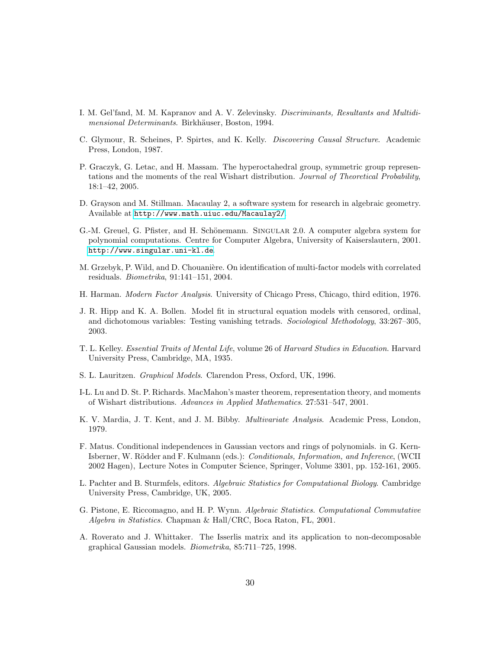- <span id="page-29-15"></span>I. M. Gel'fand, M. M. Kapranov and A. V. Zelevinsky. *Discriminants, Resultants and Multidimensional Determinants.* Birkhäuser, Boston, 1994.
- <span id="page-29-5"></span>C. Glymour, R. Scheines, P. Spirtes, and K. Kelly. *Discovering Causal Structure*. Academic Press, London, 1987.
- <span id="page-29-10"></span>P. Graczyk, G. Letac, and H. Massam. The hyperoctahedral group, symmetric group representations and the moments of the real Wishart distribution. *Journal of Theoretical Probability*, 18:1–42, 2005.
- <span id="page-29-13"></span>D. Grayson and M. Stillman. Macaulay 2, a software system for research in algebraic geometry. Available at <http://www.math.uiuc.edu/Macaulay2/>.
- <span id="page-29-14"></span>G.-M. Greuel, G. Pfister, and H. Schönemann. SINGULAR 2.0. A computer algebra system for polynomial computations. Centre for Computer Algebra, University of Kaiserslautern, 2001. <http://www.singular.uni-kl.de>.
- <span id="page-29-1"></span>M. Grzebyk, P. Wild, and D. Chouanière. On identification of multi-factor models with correlated residuals. *Biometrika*, 91:141–151, 2004.
- <span id="page-29-0"></span>H. Harman. *Modern Factor Analysis*. University of Chicago Press, Chicago, third edition, 1976.
- <span id="page-29-9"></span>J. R. Hipp and K. A. Bollen. Model fit in structural equation models with censored, ordinal, and dichotomous variables: Testing vanishing tetrads. *Sociological Methodology*, 33:267–305, 2003.
- <span id="page-29-2"></span>T. L. Kelley. *Essential Traits of Mental Life*, volume 26 of *Harvard Studies in Education*. Harvard University Press, Cambridge, MA, 1935.
- <span id="page-29-6"></span>S. L. Lauritzen. *Graphical Models*. Clarendon Press, Oxford, UK, 1996.
- <span id="page-29-11"></span>I-L. Lu and D. St. P. Richards. MacMahon's master theorem, representation theory, and moments of Wishart distributions. *Advances in Applied Mathematics*. 27:531–547, 2001.
- <span id="page-29-8"></span>K. V. Mardia, J. T. Kent, and J. M. Bibby. *Multivariate Analysis*. Academic Press, London, 1979.
- <span id="page-29-7"></span>F. Matus. Conditional independences in Gaussian vectors and rings of polynomials. in G. Kern-Isberner, W. Rödder and F. Kulmann (eds.): *Conditionals, Information, and Inference*, (WCII 2002 Hagen), Lecture Notes in Computer Science, Springer, Volume 3301, pp. 152-161, 2005.
- <span id="page-29-3"></span>L. Pachter and B. Sturmfels, editors. *Algebraic Statistics for Computational Biology*. Cambridge University Press, Cambridge, UK, 2005.
- <span id="page-29-4"></span>G. Pistone, E. Riccomagno, and H. P. Wynn. *Algebraic Statistics. Computational Commutative Algebra in Statistics.* Chapman & Hall/CRC, Boca Raton, FL, 2001.
- <span id="page-29-12"></span>A. Roverato and J. Whittaker. The Isserlis matrix and its application to non-decomposable graphical Gaussian models. *Biometrika*, 85:711–725, 1998.